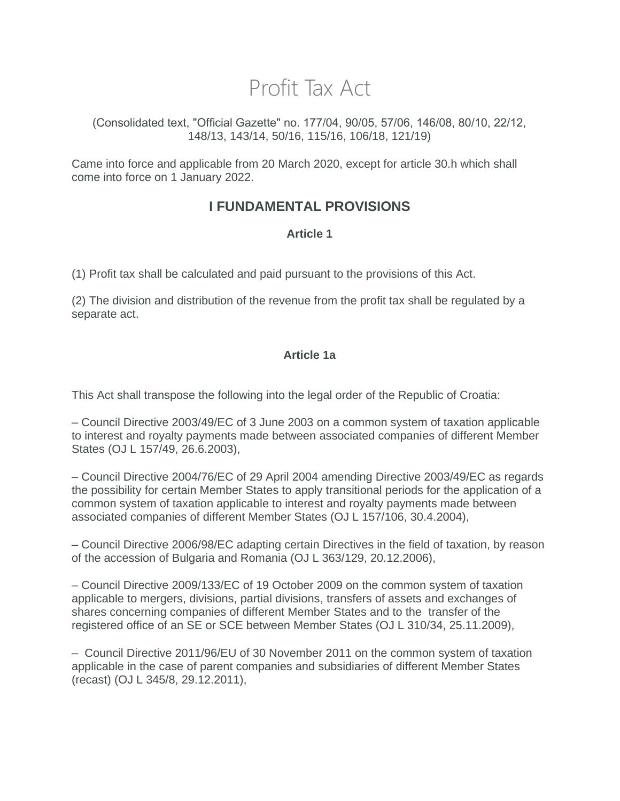# Profit Tax Act

(Consolidated text, "Official Gazette" no. 177/04, 90/05, 57/06, 146/08, 80/10, 22/12, 148/13, 143/14, 50/16, 115/16, 106/18, 121/19)

Came into force and applicable from 20 March 2020, except for article 30.h which shall come into force on 1 January 2022.

# **I FUNDAMENTAL PROVISIONS**

### **Article 1**

(1) Profit tax shall be calculated and paid pursuant to the provisions of this Act.

(2) The division and distribution of the revenue from the profit tax shall be regulated by a separate act.

### **Article 1a**

This Act shall transpose the following into the legal order of the Republic of Croatia:

– Council Directive 2003/49/EC of 3 June 2003 on a common system of taxation applicable to interest and royalty payments made between associated companies of different Member States (OJ L 157/49, 26.6.2003),

– Council Directive 2004/76/EC of 29 April 2004 amending Directive 2003/49/EC as regards the possibility for certain Member States to apply transitional periods for the application of a common system of taxation applicable to interest and royalty payments made between associated companies of different Member States (OJ L 157/106, 30.4.2004),

– Council Directive 2006/98/EC adapting certain Directives in the field of taxation, by reason of the accession of Bulgaria and Romania (OJ L 363/129, 20.12.2006),

– Council Directive 2009/133/EC of 19 October 2009 on the common system of taxation applicable to mergers, divisions, partial divisions, transfers of assets and exchanges of shares concerning companies of different Member States and to the transfer of the registered office of an SE or SCE between Member States (OJ L 310/34, 25.11.2009),

– Council Directive 2011/96/EU of 30 November 2011 on the common system of taxation applicable in the case of parent companies and subsidiaries of different Member States (recast) (OJ L 345/8, 29.12.2011),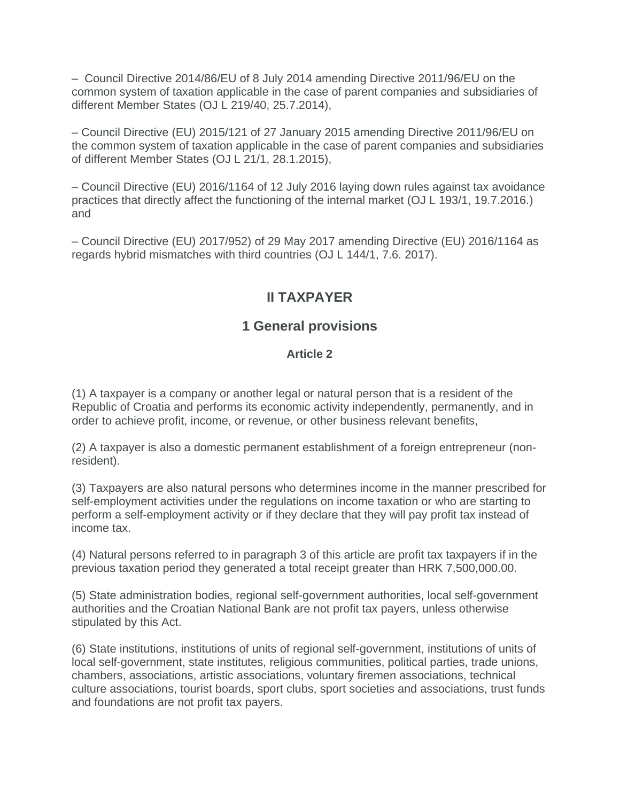– Council Directive 2014/86/EU of 8 July 2014 amending Directive 2011/96/EU on the common system of taxation applicable in the case of parent companies and subsidiaries of different Member States (OJ L 219/40, 25.7.2014),

– Council Directive (EU) 2015/121 of 27 January 2015 amending Directive 2011/96/EU on the common system of taxation applicable in the case of parent companies and subsidiaries of different Member States (OJ L 21/1, 28.1.2015),

– Council Directive (EU) 2016/1164 of 12 July 2016 laying down rules against tax avoidance practices that directly affect the functioning of the internal market (OJ L 193/1, 19.7.2016.) and

– Council Directive (EU) 2017/952) of 29 May 2017 amending Directive (EU) 2016/1164 as regards hybrid mismatches with third countries (OJ L 144/1, 7.6. 2017).

# **II TAXPAYER**

### **1 General provisions**

### **Article 2**

(1) A taxpayer is a company or another legal or natural person that is a resident of the Republic of Croatia and performs its economic activity independently, permanently, and in order to achieve profit, income, or revenue, or other business relevant benefits,

(2) A taxpayer is also a domestic permanent establishment of a foreign entrepreneur (nonresident).

(3) Taxpayers are also natural persons who determines income in the manner prescribed for self-employment activities under the regulations on income taxation or who are starting to perform a self-employment activity or if they declare that they will pay profit tax instead of income tax.

(4) Natural persons referred to in paragraph 3 of this article are profit tax taxpayers if in the previous taxation period they generated a total receipt greater than HRK 7,500,000.00.

(5) State administration bodies, regional self-government authorities, local self-government authorities and the Croatian National Bank are not profit tax payers, unless otherwise stipulated by this Act.

(6) State institutions, institutions of units of regional self-government, institutions of units of local self-government, state institutes, religious communities, political parties, trade unions, chambers, associations, artistic associations, voluntary firemen associations, technical culture associations, tourist boards, sport clubs, sport societies and associations, trust funds and foundations are not profit tax payers.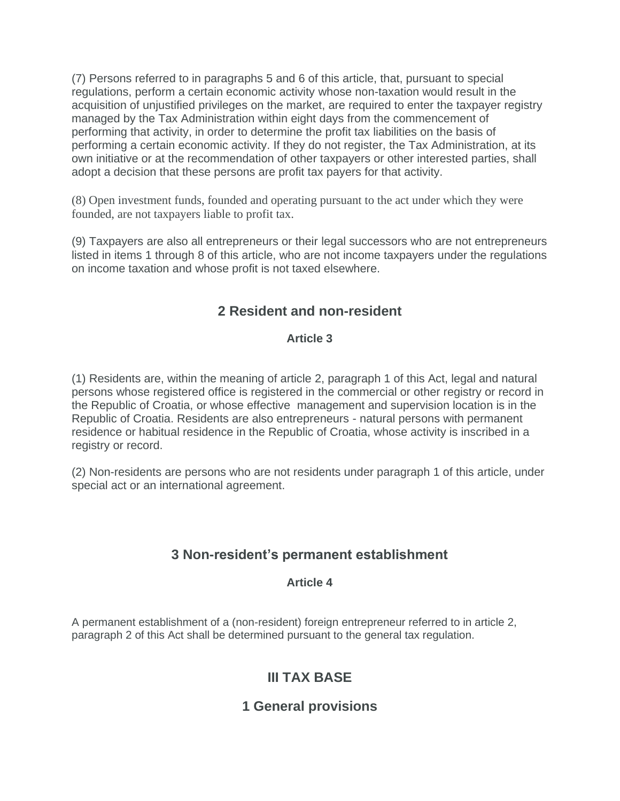(7) Persons referred to in paragraphs 5 and 6 of this article, that, pursuant to special regulations, perform a certain economic activity whose non-taxation would result in the acquisition of unjustified privileges on the market, are required to enter the taxpayer registry managed by the Tax Administration within eight days from the commencement of performing that activity, in order to determine the profit tax liabilities on the basis of performing a certain economic activity. If they do not register, the Tax Administration, at its own initiative or at the recommendation of other taxpayers or other interested parties, shall adopt a decision that these persons are profit tax payers for that activity.

(8) Open investment funds, founded and operating pursuant to the act under which they were founded, are not taxpayers liable to profit tax.

(9) Taxpayers are also all entrepreneurs or their legal successors who are not entrepreneurs listed in items 1 through 8 of this article, who are not income taxpayers under the regulations on income taxation and whose profit is not taxed elsewhere.

# **2 Resident and non-resident**

### **Article 3**

(1) Residents are, within the meaning of article 2, paragraph 1 of this Act, legal and natural persons whose registered office is registered in the commercial or other registry or record in the Republic of Croatia, or whose effective management and supervision location is in the Republic of Croatia. Residents are also entrepreneurs - natural persons with permanent residence or habitual residence in the Republic of Croatia, whose activity is inscribed in a registry or record.

(2) Non-residents are persons who are not residents under paragraph 1 of this article, under special act or an international agreement.

# **3 Non-resident's permanent establishment**

### **Article 4**

A permanent establishment of a (non-resident) foreign entrepreneur referred to in article 2, paragraph 2 of this Act shall be determined pursuant to the general tax regulation.

# **III TAX BASE**

# **1 General provisions**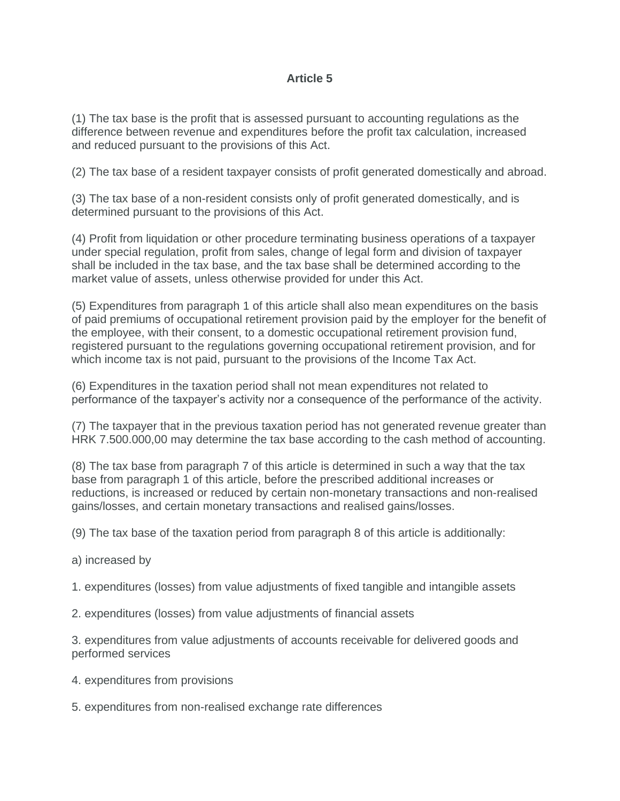### **Article 5**

(1) The tax base is the profit that is assessed pursuant to accounting regulations as the difference between revenue and expenditures before the profit tax calculation, increased and reduced pursuant to the provisions of this Act.

(2) The tax base of a resident taxpayer consists of profit generated domestically and abroad.

(3) The tax base of a non-resident consists only of profit generated domestically, and is determined pursuant to the provisions of this Act.

(4) Profit from liquidation or other procedure terminating business operations of a taxpayer under special regulation, profit from sales, change of legal form and division of taxpayer shall be included in the tax base, and the tax base shall be determined according to the market value of assets, unless otherwise provided for under this Act.

(5) Expenditures from paragraph 1 of this article shall also mean expenditures on the basis of paid premiums of occupational retirement provision paid by the employer for the benefit of the employee, with their consent, to a domestic occupational retirement provision fund, registered pursuant to the regulations governing occupational retirement provision, and for which income tax is not paid, pursuant to the provisions of the Income Tax Act.

(6) Expenditures in the taxation period shall not mean expenditures not related to performance of the taxpayer's activity nor a consequence of the performance of the activity.

(7) The taxpayer that in the previous taxation period has not generated revenue greater than HRK 7.500.000,00 may determine the tax base according to the cash method of accounting.

(8) The tax base from paragraph 7 of this article is determined in such a way that the tax base from paragraph 1 of this article, before the prescribed additional increases or reductions, is increased or reduced by certain non-monetary transactions and non-realised gains/losses, and certain monetary transactions and realised gains/losses.

(9) The tax base of the taxation period from paragraph 8 of this article is additionally:

- a) increased by
- 1. expenditures (losses) from value adjustments of fixed tangible and intangible assets
- 2. expenditures (losses) from value adjustments of financial assets

3. expenditures from value adjustments of accounts receivable for delivered goods and performed services

- 4. expenditures from provisions
- 5. expenditures from non-realised exchange rate differences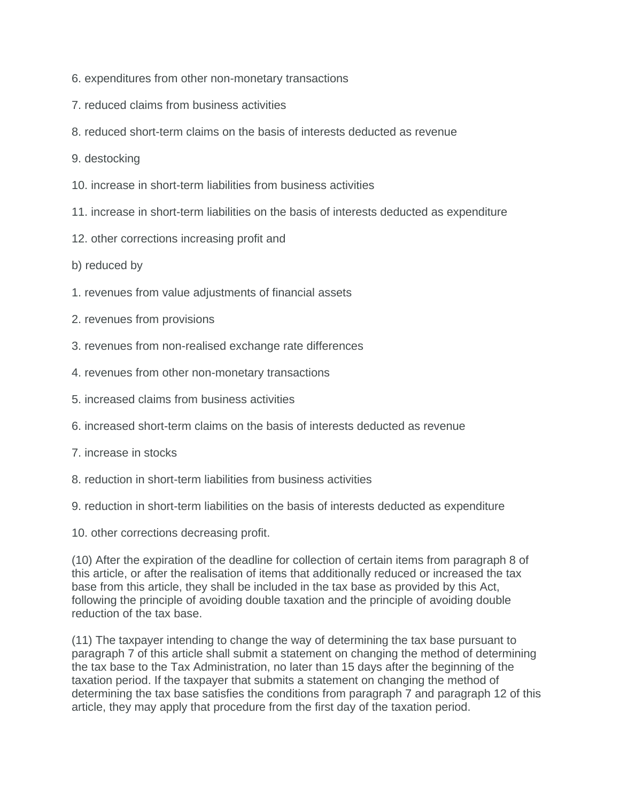- 6. expenditures from other non-monetary transactions
- 7. reduced claims from business activities
- 8. reduced short-term claims on the basis of interests deducted as revenue
- 9. destocking
- 10. increase in short-term liabilities from business activities
- 11. increase in short-term liabilities on the basis of interests deducted as expenditure
- 12. other corrections increasing profit and
- b) reduced by
- 1. revenues from value adjustments of financial assets
- 2. revenues from provisions
- 3. revenues from non-realised exchange rate differences
- 4. revenues from other non-monetary transactions
- 5. increased claims from business activities
- 6. increased short-term claims on the basis of interests deducted as revenue
- 7. increase in stocks
- 8. reduction in short-term liabilities from business activities
- 9. reduction in short-term liabilities on the basis of interests deducted as expenditure
- 10. other corrections decreasing profit.

(10) After the expiration of the deadline for collection of certain items from paragraph 8 of this article, or after the realisation of items that additionally reduced or increased the tax base from this article, they shall be included in the tax base as provided by this Act, following the principle of avoiding double taxation and the principle of avoiding double reduction of the tax base.

(11) The taxpayer intending to change the way of determining the tax base pursuant to paragraph 7 of this article shall submit a statement on changing the method of determining the tax base to the Tax Administration, no later than 15 days after the beginning of the taxation period. If the taxpayer that submits a statement on changing the method of determining the tax base satisfies the conditions from paragraph 7 and paragraph 12 of this article, they may apply that procedure from the first day of the taxation period.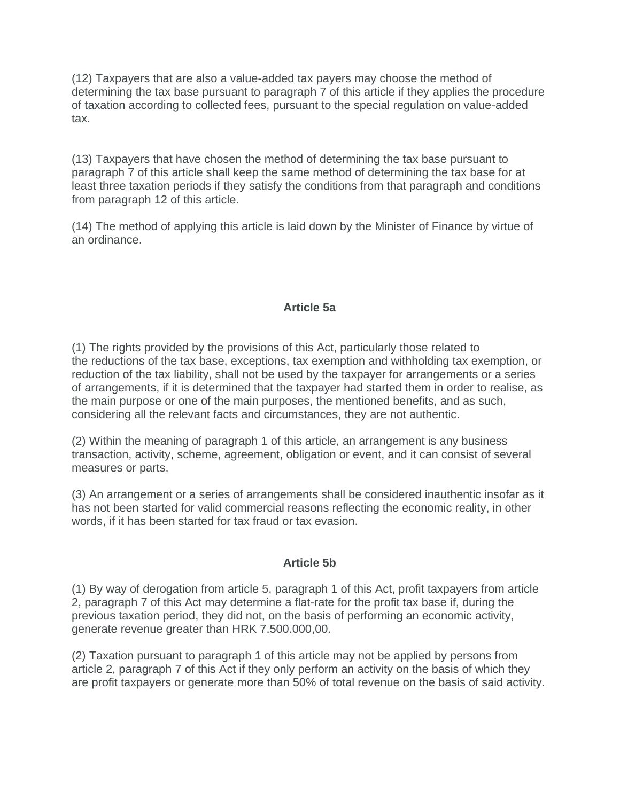(12) Taxpayers that are also a value-added tax payers may choose the method of determining the tax base pursuant to paragraph 7 of this article if they applies the procedure of taxation according to collected fees, pursuant to the special regulation on value-added tax.

(13) Taxpayers that have chosen the method of determining the tax base pursuant to paragraph 7 of this article shall keep the same method of determining the tax base for at least three taxation periods if they satisfy the conditions from that paragraph and conditions from paragraph 12 of this article.

(14) The method of applying this article is laid down by the Minister of Finance by virtue of an ordinance.

#### **Article 5a**

(1) The rights provided by the provisions of this Act, particularly those related to the reductions of the tax base, exceptions, tax exemption and withholding tax exemption, or reduction of the tax liability, shall not be used by the taxpayer for arrangements or a series of arrangements, if it is determined that the taxpayer had started them in order to realise, as the main purpose or one of the main purposes, the mentioned benefits, and as such, considering all the relevant facts and circumstances, they are not authentic.

(2) Within the meaning of paragraph 1 of this article, an arrangement is any business transaction, activity, scheme, agreement, obligation or event, and it can consist of several measures or parts.

(3) An arrangement or a series of arrangements shall be considered inauthentic insofar as it has not been started for valid commercial reasons reflecting the economic reality, in other words, if it has been started for tax fraud or tax evasion.

#### **Article 5b**

(1) By way of derogation from article 5, paragraph 1 of this Act, profit taxpayers from article 2, paragraph 7 of this Act may determine a flat-rate for the profit tax base if, during the previous taxation period, they did not, on the basis of performing an economic activity, generate revenue greater than HRK 7.500.000,00.

(2) Taxation pursuant to paragraph 1 of this article may not be applied by persons from article 2, paragraph 7 of this Act if they only perform an activity on the basis of which they are profit taxpayers or generate more than 50% of total revenue on the basis of said activity.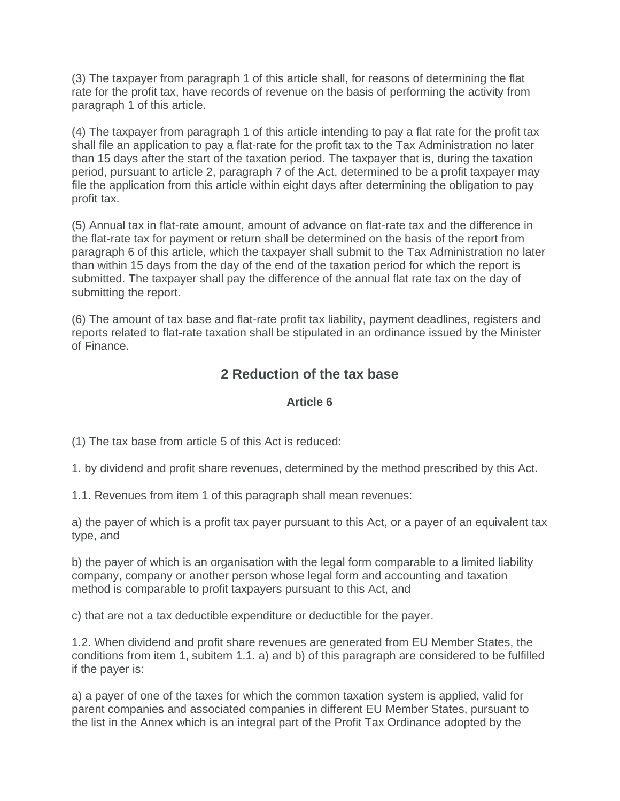(3) The taxpayer from paragraph 1 of this article shall, for reasons of determining the flat rate for the profit tax, have records of revenue on the basis of performing the activity from paragraph 1 of this article.

(4) The taxpayer from paragraph 1 of this article intending to pay a flat rate for the profit tax shall file an application to pay a flat-rate for the profit tax to the Tax Administration no later than 15 days after the start of the taxation period. The taxpayer that is, during the taxation period, pursuant to article 2, paragraph 7 of the Act, determined to be a profit taxpayer may file the application from this article within eight days after determining the obligation to pay profit tax.

(5) Annual tax in flat-rate amount, amount of advance on flat-rate tax and the difference in the flat-rate tax for payment or return shall be determined on the basis of the report from paragraph 6 of this article, which the taxpayer shall submit to the Tax Administration no later than within 15 days from the day of the end of the taxation period for which the report is submitted. The taxpayer shall pay the difference of the annual flat rate tax on the day of submitting the report.

(6) The amount of tax base and flat-rate profit tax liability, payment deadlines, registers and reports related to flat-rate taxation shall be stipulated in an ordinance issued by the Minister of Finance.

# **2 Reduction of the tax base**

### **Article 6**

(1) The tax base from article 5 of this Act is reduced:

1. by dividend and profit share revenues, determined by the method prescribed by this Act.

1.1. Revenues from item 1 of this paragraph shall mean revenues:

a) the payer of which is a profit tax payer pursuant to this Act, or a payer of an equivalent tax type, and

b) the payer of which is an organisation with the legal form comparable to a limited liability company, company or another person whose legal form and accounting and taxation method is comparable to profit taxpayers pursuant to this Act, and

c) that are not a tax deductible expenditure or deductible for the payer.

1.2. When dividend and profit share revenues are generated from EU Member States, the conditions from item 1, subitem 1.1. a) and b) of this paragraph are considered to be fulfilled if the payer is:

a) a payer of one of the taxes for which the common taxation system is applied, valid for parent companies and associated companies in different EU Member States, pursuant to the list in the Annex which is an integral part of the Profit Tax Ordinance adopted by the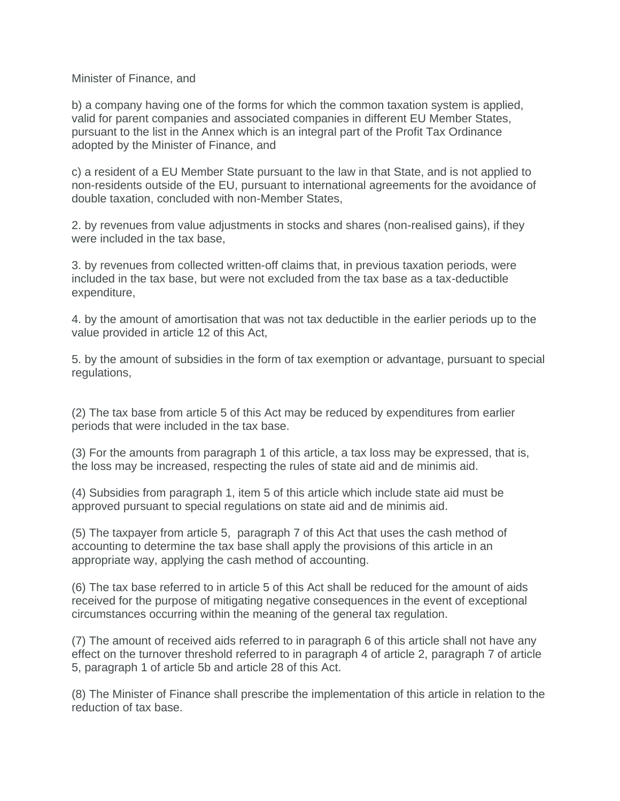#### Minister of Finance, and

b) a company having one of the forms for which the common taxation system is applied, valid for parent companies and associated companies in different EU Member States, pursuant to the list in the Annex which is an integral part of the Profit Tax Ordinance adopted by the Minister of Finance, and

c) a resident of a EU Member State pursuant to the law in that State, and is not applied to non-residents outside of the EU, pursuant to international agreements for the avoidance of double taxation, concluded with non-Member States,

2. by revenues from value adjustments in stocks and shares (non-realised gains), if they were included in the tax base,

3. by revenues from collected written-off claims that, in previous taxation periods, were included in the tax base, but were not excluded from the tax base as a tax-deductible expenditure,

4. by the amount of amortisation that was not tax deductible in the earlier periods up to the value provided in article 12 of this Act,

5. by the amount of subsidies in the form of tax exemption or advantage, pursuant to special regulations,

(2) The tax base from article 5 of this Act may be reduced by expenditures from earlier periods that were included in the tax base.

(3) For the amounts from paragraph 1 of this article, a tax loss may be expressed, that is, the loss may be increased, respecting the rules of state aid and de minimis aid.

(4) Subsidies from paragraph 1, item 5 of this article which include state aid must be approved pursuant to special regulations on state aid and de minimis aid.

(5) The taxpayer from article 5, paragraph 7 of this Act that uses the cash method of accounting to determine the tax base shall apply the provisions of this article in an appropriate way, applying the cash method of accounting.

(6) The tax base referred to in article 5 of this Act shall be reduced for the amount of aids received for the purpose of mitigating negative consequences in the event of exceptional circumstances occurring within the meaning of the general tax regulation.

(7) The amount of received aids referred to in paragraph 6 of this article shall not have any effect on the turnover threshold referred to in paragraph 4 of article 2, paragraph 7 of article 5, paragraph 1 of article 5b and article 28 of this Act.

(8) The Minister of Finance shall prescribe the implementation of this article in relation to the reduction of tax base.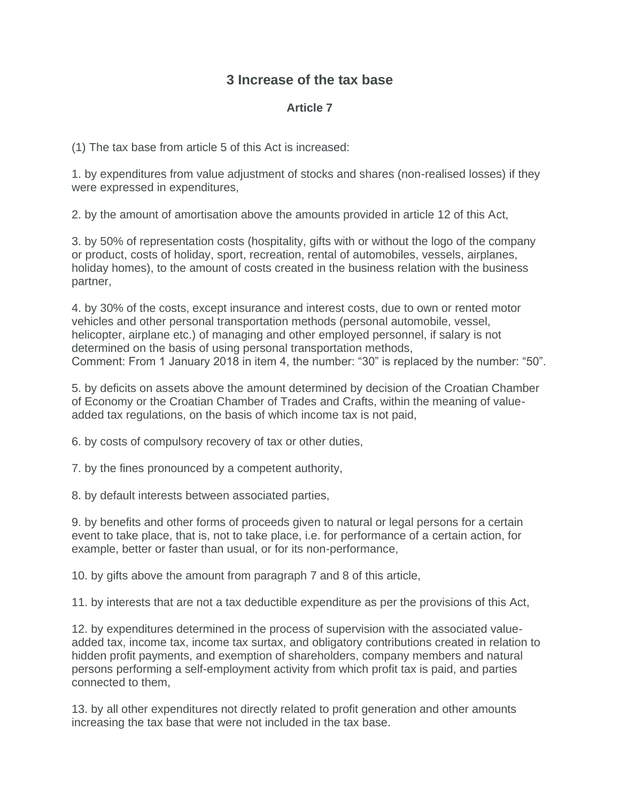## **3 Increase of the tax base**

### **Article 7**

(1) The tax base from article 5 of this Act is increased:

1. by expenditures from value adjustment of stocks and shares (non-realised losses) if they were expressed in expenditures,

2. by the amount of amortisation above the amounts provided in article 12 of this Act,

3. by 50% of representation costs (hospitality, gifts with or without the logo of the company or product, costs of holiday, sport, recreation, rental of automobiles, vessels, airplanes, holiday homes), to the amount of costs created in the business relation with the business partner,

4. by 30% of the costs, except insurance and interest costs, due to own or rented motor vehicles and other personal transportation methods (personal automobile, vessel, helicopter, airplane etc.) of managing and other employed personnel, if salary is not determined on the basis of using personal transportation methods, Comment: From 1 January 2018 in item 4, the number: "30" is replaced by the number: "50".

5. by deficits on assets above the amount determined by decision of the Croatian Chamber of Economy or the Croatian Chamber of Trades and Crafts, within the meaning of valueadded tax regulations, on the basis of which income tax is not paid,

6. by costs of compulsory recovery of tax or other duties,

7. by the fines pronounced by a competent authority,

8. by default interests between associated parties,

9. by benefits and other forms of proceeds given to natural or legal persons for a certain event to take place, that is, not to take place, i.e. for performance of a certain action, for example, better or faster than usual, or for its non-performance,

10. by gifts above the amount from paragraph 7 and 8 of this article,

11. by interests that are not a tax deductible expenditure as per the provisions of this Act,

12. by expenditures determined in the process of supervision with the associated valueadded tax, income tax, income tax surtax, and obligatory contributions created in relation to hidden profit payments, and exemption of shareholders, company members and natural persons performing a self-employment activity from which profit tax is paid, and parties connected to them,

13. by all other expenditures not directly related to profit generation and other amounts increasing the tax base that were not included in the tax base.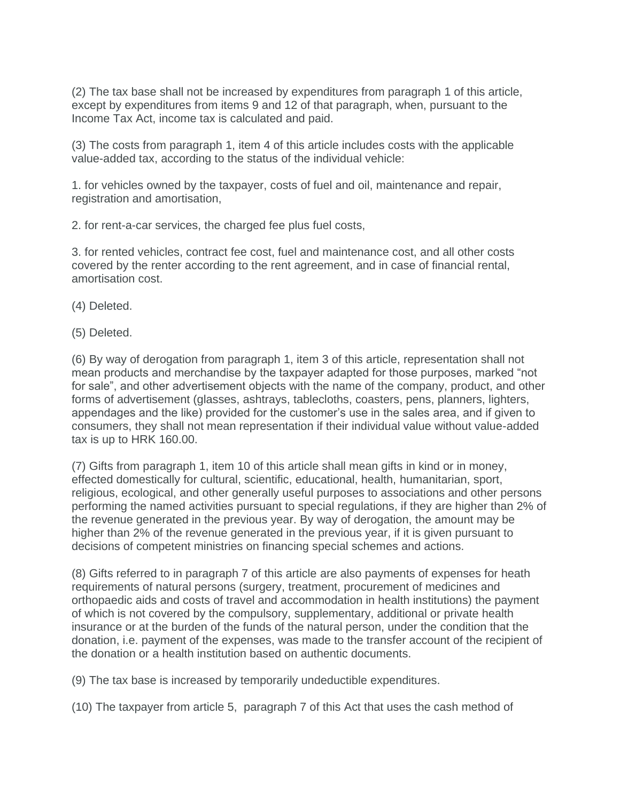(2) The tax base shall not be increased by expenditures from paragraph 1 of this article, except by expenditures from items 9 and 12 of that paragraph, when, pursuant to the Income Tax Act, income tax is calculated and paid.

(3) The costs from paragraph 1, item 4 of this article includes costs with the applicable value-added tax, according to the status of the individual vehicle:

1. for vehicles owned by the taxpayer, costs of fuel and oil, maintenance and repair, registration and amortisation,

2. for rent-a-car services, the charged fee plus fuel costs,

3. for rented vehicles, contract fee cost, fuel and maintenance cost, and all other costs covered by the renter according to the rent agreement, and in case of financial rental, amortisation cost.

(4) Deleted.

(5) Deleted.

(6) By way of derogation from paragraph 1, item 3 of this article, representation shall not mean products and merchandise by the taxpayer adapted for those purposes, marked "not for sale", and other advertisement objects with the name of the company, product, and other forms of advertisement (glasses, ashtrays, tablecloths, coasters, pens, planners, lighters, appendages and the like) provided for the customer's use in the sales area, and if given to consumers, they shall not mean representation if their individual value without value-added tax is up to HRK 160.00.

(7) Gifts from paragraph 1, item 10 of this article shall mean gifts in kind or in money, effected domestically for cultural, scientific, educational, health, humanitarian, sport, religious, ecological, and other generally useful purposes to associations and other persons performing the named activities pursuant to special regulations, if they are higher than 2% of the revenue generated in the previous year. By way of derogation, the amount may be higher than 2% of the revenue generated in the previous year, if it is given pursuant to decisions of competent ministries on financing special schemes and actions.

(8) Gifts referred to in paragraph 7 of this article are also payments of expenses for heath requirements of natural persons (surgery, treatment, procurement of medicines and orthopaedic aids and costs of travel and accommodation in health institutions) the payment of which is not covered by the compulsory, supplementary, additional or private health insurance or at the burden of the funds of the natural person, under the condition that the donation, i.e. payment of the expenses, was made to the transfer account of the recipient of the donation or a health institution based on authentic documents.

(9) The tax base is increased by temporarily undeductible expenditures.

(10) The taxpayer from article 5, paragraph 7 of this Act that uses the cash method of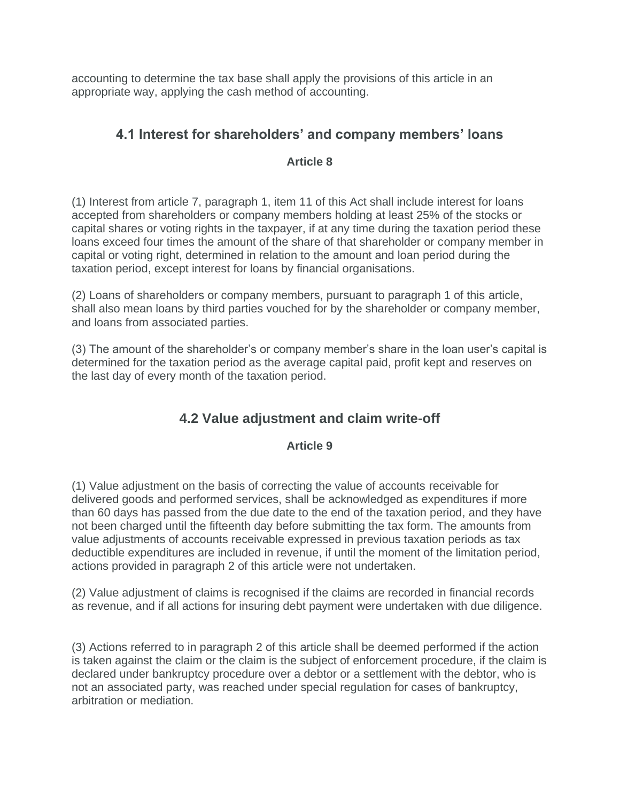accounting to determine the tax base shall apply the provisions of this article in an appropriate way, applying the cash method of accounting.

# **4.1 Interest for shareholders' and company members' loans**

### **Article 8**

(1) Interest from article 7, paragraph 1, item 11 of this Act shall include interest for loans accepted from shareholders or company members holding at least 25% of the stocks or capital shares or voting rights in the taxpayer, if at any time during the taxation period these loans exceed four times the amount of the share of that shareholder or company member in capital or voting right, determined in relation to the amount and loan period during the taxation period, except interest for loans by financial organisations.

(2) Loans of shareholders or company members, pursuant to paragraph 1 of this article, shall also mean loans by third parties vouched for by the shareholder or company member, and loans from associated parties.

(3) The amount of the shareholder's or company member's share in the loan user's capital is determined for the taxation period as the average capital paid, profit kept and reserves on the last day of every month of the taxation period.

# **4.2 Value adjustment and claim write-off**

### **Article 9**

(1) Value adjustment on the basis of correcting the value of accounts receivable for delivered goods and performed services, shall be acknowledged as expenditures if more than 60 days has passed from the due date to the end of the taxation period, and they have not been charged until the fifteenth day before submitting the tax form. The amounts from value adjustments of accounts receivable expressed in previous taxation periods as tax deductible expenditures are included in revenue, if until the moment of the limitation period, actions provided in paragraph 2 of this article were not undertaken.

(2) Value adjustment of claims is recognised if the claims are recorded in financial records as revenue, and if all actions for insuring debt payment were undertaken with due diligence.

(3) Actions referred to in paragraph 2 of this article shall be deemed performed if the action is taken against the claim or the claim is the subject of enforcement procedure, if the claim is declared under bankruptcy procedure over a debtor or a settlement with the debtor, who is not an associated party, was reached under special regulation for cases of bankruptcy, arbitration or mediation.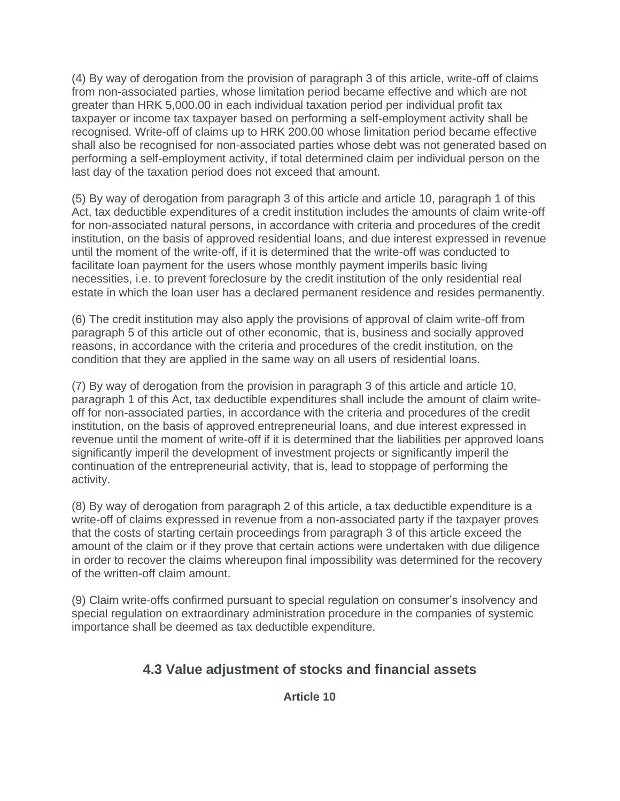(4) By way of derogation from the provision of paragraph 3 of this article, write-off of claims from non-associated parties, whose limitation period became effective and which are not greater than HRK 5,000.00 in each individual taxation period per individual profit tax taxpayer or income tax taxpayer based on performing a self-employment activity shall be recognised. Write-off of claims up to HRK 200.00 whose limitation period became effective shall also be recognised for non-associated parties whose debt was not generated based on performing a self-employment activity, if total determined claim per individual person on the last day of the taxation period does not exceed that amount.

(5) By way of derogation from paragraph 3 of this article and article 10, paragraph 1 of this Act, tax deductible expenditures of a credit institution includes the amounts of claim write-off for non-associated natural persons, in accordance with criteria and procedures of the credit institution, on the basis of approved residential loans, and due interest expressed in revenue until the moment of the write-off, if it is determined that the write-off was conducted to facilitate loan payment for the users whose monthly payment imperils basic living necessities, i.e. to prevent foreclosure by the credit institution of the only residential real estate in which the loan user has a declared permanent residence and resides permanently.

(6) The credit institution may also apply the provisions of approval of claim write-off from paragraph 5 of this article out of other economic, that is, business and socially approved reasons, in accordance with the criteria and procedures of the credit institution, on the condition that they are applied in the same way on all users of residential loans.

(7) By way of derogation from the provision in paragraph 3 of this article and article 10, paragraph 1 of this Act, tax deductible expenditures shall include the amount of claim writeoff for non-associated parties, in accordance with the criteria and procedures of the credit institution, on the basis of approved entrepreneurial loans, and due interest expressed in revenue until the moment of write-off if it is determined that the liabilities per approved loans significantly imperil the development of investment projects or significantly imperil the continuation of the entrepreneurial activity, that is, lead to stoppage of performing the activity.

(8) By way of derogation from paragraph 2 of this article, a tax deductible expenditure is a write-off of claims expressed in revenue from a non-associated party if the taxpayer proves that the costs of starting certain proceedings from paragraph 3 of this article exceed the amount of the claim or if they prove that certain actions were undertaken with due diligence in order to recover the claims whereupon final impossibility was determined for the recovery of the written-off claim amount.

(9) Claim write-offs confirmed pursuant to special regulation on consumer's insolvency and special regulation on extraordinary administration procedure in the companies of systemic importance shall be deemed as tax deductible expenditure.

# **4.3 Value adjustment of stocks and financial assets**

### **Article 10**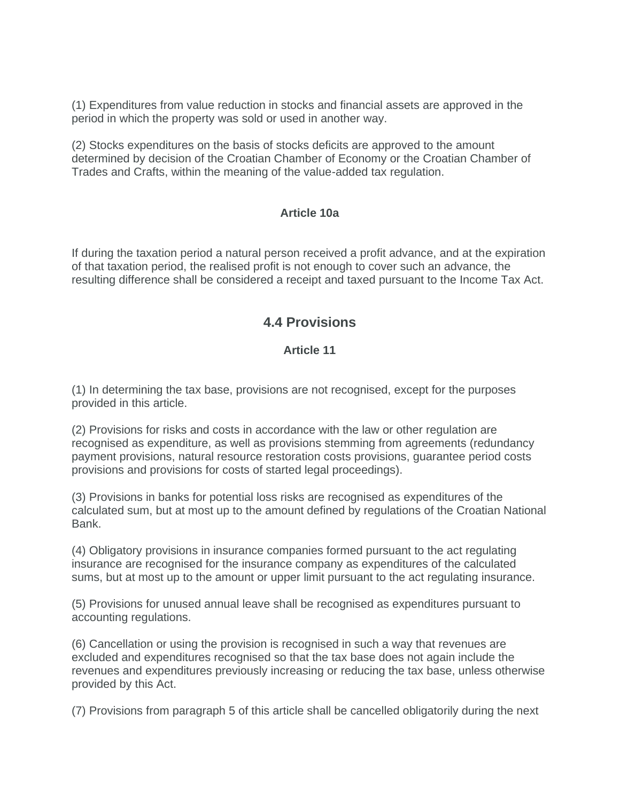(1) Expenditures from value reduction in stocks and financial assets are approved in the period in which the property was sold or used in another way.

(2) Stocks expenditures on the basis of stocks deficits are approved to the amount determined by decision of the Croatian Chamber of Economy or the Croatian Chamber of Trades and Crafts, within the meaning of the value-added tax regulation.

#### **Article 10a**

If during the taxation period a natural person received a profit advance, and at the expiration of that taxation period, the realised profit is not enough to cover such an advance, the resulting difference shall be considered a receipt and taxed pursuant to the Income Tax Act.

### **4.4 Provisions**

### **Article 11**

(1) In determining the tax base, provisions are not recognised, except for the purposes provided in this article.

(2) Provisions for risks and costs in accordance with the law or other regulation are recognised as expenditure, as well as provisions stemming from agreements (redundancy payment provisions, natural resource restoration costs provisions, guarantee period costs provisions and provisions for costs of started legal proceedings).

(3) Provisions in banks for potential loss risks are recognised as expenditures of the calculated sum, but at most up to the amount defined by regulations of the Croatian National Bank.

(4) Obligatory provisions in insurance companies formed pursuant to the act regulating insurance are recognised for the insurance company as expenditures of the calculated sums, but at most up to the amount or upper limit pursuant to the act regulating insurance.

(5) Provisions for unused annual leave shall be recognised as expenditures pursuant to accounting regulations.

(6) Cancellation or using the provision is recognised in such a way that revenues are excluded and expenditures recognised so that the tax base does not again include the revenues and expenditures previously increasing or reducing the tax base, unless otherwise provided by this Act.

(7) Provisions from paragraph 5 of this article shall be cancelled obligatorily during the next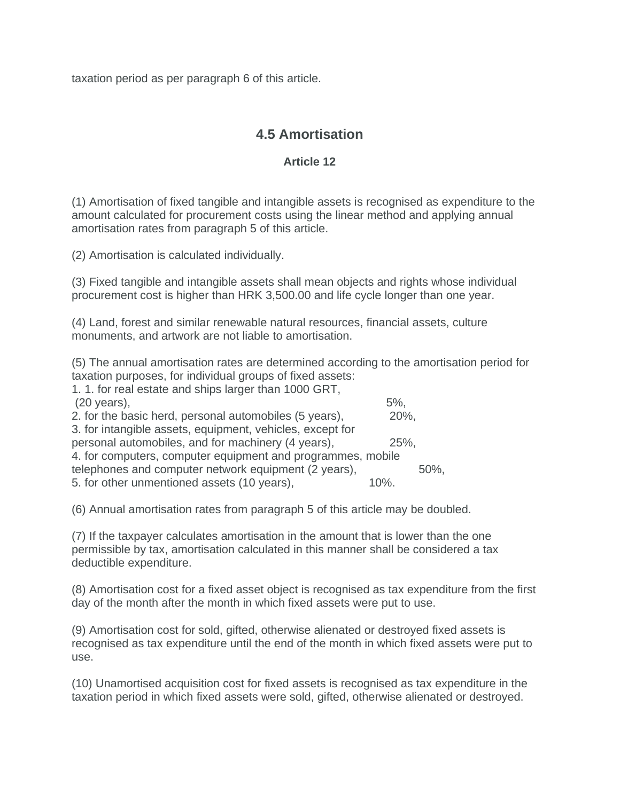taxation period as per paragraph 6 of this article.

## **4.5 Amortisation**

### **Article 12**

(1) Amortisation of fixed tangible and intangible assets is recognised as expenditure to the amount calculated for procurement costs using the linear method and applying annual amortisation rates from paragraph 5 of this article.

(2) Amortisation is calculated individually.

(3) Fixed tangible and intangible assets shall mean objects and rights whose individual procurement cost is higher than HRK 3,500.00 and life cycle longer than one year.

(4) Land, forest and similar renewable natural resources, financial assets, culture monuments, and artwork are not liable to amortisation.

(5) The annual amortisation rates are determined according to the amortisation period for taxation purposes, for individual groups of fixed assets:

| 5%                                                          |             |
|-------------------------------------------------------------|-------------|
|                                                             |             |
|                                                             |             |
|                                                             |             |
| 4. for computers, computer equipment and programmes, mobile |             |
|                                                             | 50%.        |
| 10%.                                                        |             |
|                                                             | 20%,<br>25% |

(6) Annual amortisation rates from paragraph 5 of this article may be doubled.

(7) If the taxpayer calculates amortisation in the amount that is lower than the one permissible by tax, amortisation calculated in this manner shall be considered a tax deductible expenditure.

(8) Amortisation cost for a fixed asset object is recognised as tax expenditure from the first day of the month after the month in which fixed assets were put to use.

(9) Amortisation cost for sold, gifted, otherwise alienated or destroyed fixed assets is recognised as tax expenditure until the end of the month in which fixed assets were put to use.

(10) Unamortised acquisition cost for fixed assets is recognised as tax expenditure in the taxation period in which fixed assets were sold, gifted, otherwise alienated or destroyed.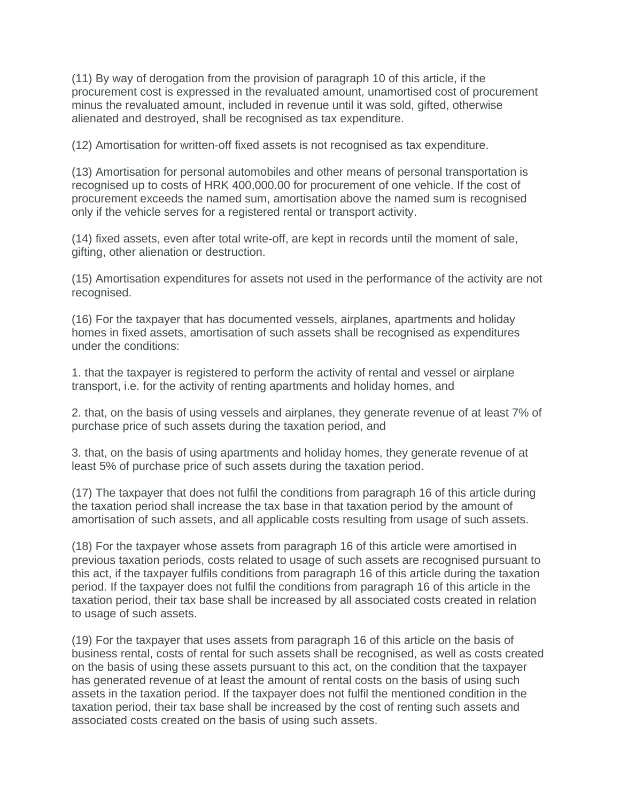(11) By way of derogation from the provision of paragraph 10 of this article, if the procurement cost is expressed in the revaluated amount, unamortised cost of procurement minus the revaluated amount, included in revenue until it was sold, gifted, otherwise alienated and destroyed, shall be recognised as tax expenditure.

(12) Amortisation for written-off fixed assets is not recognised as tax expenditure.

(13) Amortisation for personal automobiles and other means of personal transportation is recognised up to costs of HRK 400,000.00 for procurement of one vehicle. If the cost of procurement exceeds the named sum, amortisation above the named sum is recognised only if the vehicle serves for a registered rental or transport activity.

(14) fixed assets, even after total write-off, are kept in records until the moment of sale, gifting, other alienation or destruction.

(15) Amortisation expenditures for assets not used in the performance of the activity are not recognised.

(16) For the taxpayer that has documented vessels, airplanes, apartments and holiday homes in fixed assets, amortisation of such assets shall be recognised as expenditures under the conditions:

1. that the taxpayer is registered to perform the activity of rental and vessel or airplane transport, i.e. for the activity of renting apartments and holiday homes, and

2. that, on the basis of using vessels and airplanes, they generate revenue of at least 7% of purchase price of such assets during the taxation period, and

3. that, on the basis of using apartments and holiday homes, they generate revenue of at least 5% of purchase price of such assets during the taxation period.

(17) The taxpayer that does not fulfil the conditions from paragraph 16 of this article during the taxation period shall increase the tax base in that taxation period by the amount of amortisation of such assets, and all applicable costs resulting from usage of such assets.

(18) For the taxpayer whose assets from paragraph 16 of this article were amortised in previous taxation periods, costs related to usage of such assets are recognised pursuant to this act, if the taxpayer fulfils conditions from paragraph 16 of this article during the taxation period. If the taxpayer does not fulfil the conditions from paragraph 16 of this article in the taxation period, their tax base shall be increased by all associated costs created in relation to usage of such assets.

(19) For the taxpayer that uses assets from paragraph 16 of this article on the basis of business rental, costs of rental for such assets shall be recognised, as well as costs created on the basis of using these assets pursuant to this act, on the condition that the taxpayer has generated revenue of at least the amount of rental costs on the basis of using such assets in the taxation period. If the taxpayer does not fulfil the mentioned condition in the taxation period, their tax base shall be increased by the cost of renting such assets and associated costs created on the basis of using such assets.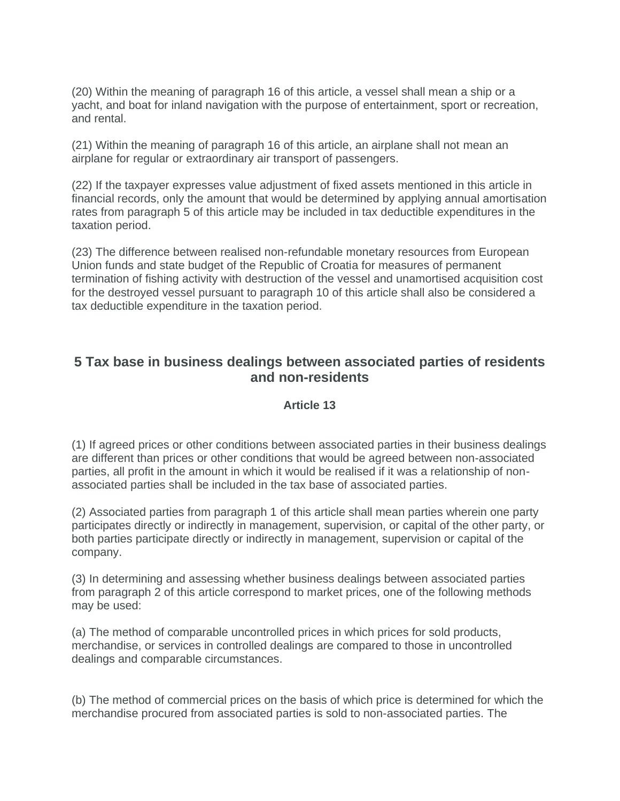(20) Within the meaning of paragraph 16 of this article, a vessel shall mean a ship or a yacht, and boat for inland navigation with the purpose of entertainment, sport or recreation, and rental.

(21) Within the meaning of paragraph 16 of this article, an airplane shall not mean an airplane for regular or extraordinary air transport of passengers.

(22) If the taxpayer expresses value adjustment of fixed assets mentioned in this article in financial records, only the amount that would be determined by applying annual amortisation rates from paragraph 5 of this article may be included in tax deductible expenditures in the taxation period.

(23) The difference between realised non-refundable monetary resources from European Union funds and state budget of the Republic of Croatia for measures of permanent termination of fishing activity with destruction of the vessel and unamortised acquisition cost for the destroyed vessel pursuant to paragraph 10 of this article shall also be considered a tax deductible expenditure in the taxation period.

### **5 Tax base in business dealings between associated parties of residents and non-residents**

#### **Article 13**

(1) If agreed prices or other conditions between associated parties in their business dealings are different than prices or other conditions that would be agreed between non-associated parties, all profit in the amount in which it would be realised if it was a relationship of nonassociated parties shall be included in the tax base of associated parties.

(2) Associated parties from paragraph 1 of this article shall mean parties wherein one party participates directly or indirectly in management, supervision, or capital of the other party, or both parties participate directly or indirectly in management, supervision or capital of the company.

(3) In determining and assessing whether business dealings between associated parties from paragraph 2 of this article correspond to market prices, one of the following methods may be used:

(a) The method of comparable uncontrolled prices in which prices for sold products, merchandise, or services in controlled dealings are compared to those in uncontrolled dealings and comparable circumstances.

(b) The method of commercial prices on the basis of which price is determined for which the merchandise procured from associated parties is sold to non-associated parties. The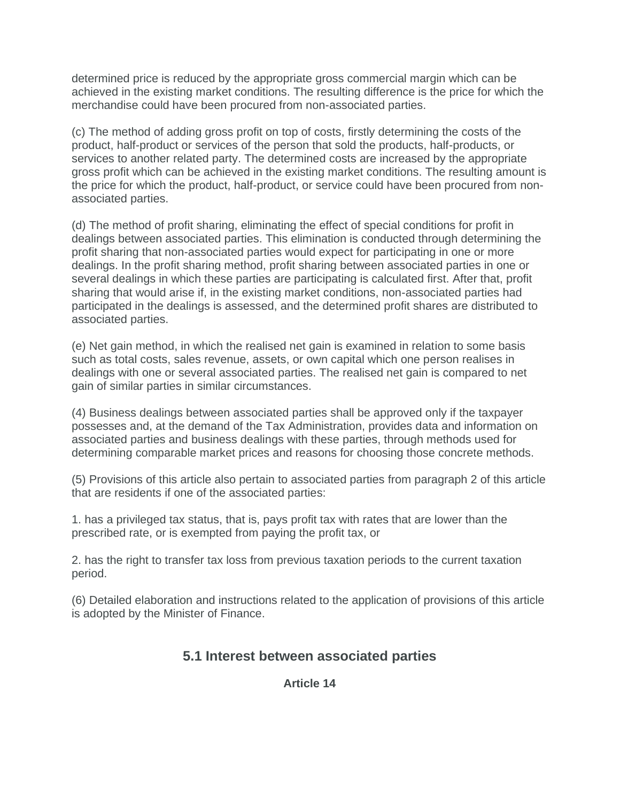determined price is reduced by the appropriate gross commercial margin which can be achieved in the existing market conditions. The resulting difference is the price for which the merchandise could have been procured from non-associated parties.

(c) The method of adding gross profit on top of costs, firstly determining the costs of the product, half-product or services of the person that sold the products, half-products, or services to another related party. The determined costs are increased by the appropriate gross profit which can be achieved in the existing market conditions. The resulting amount is the price for which the product, half-product, or service could have been procured from nonassociated parties.

(d) The method of profit sharing, eliminating the effect of special conditions for profit in dealings between associated parties. This elimination is conducted through determining the profit sharing that non-associated parties would expect for participating in one or more dealings. In the profit sharing method, profit sharing between associated parties in one or several dealings in which these parties are participating is calculated first. After that, profit sharing that would arise if, in the existing market conditions, non-associated parties had participated in the dealings is assessed, and the determined profit shares are distributed to associated parties.

(e) Net gain method, in which the realised net gain is examined in relation to some basis such as total costs, sales revenue, assets, or own capital which one person realises in dealings with one or several associated parties. The realised net gain is compared to net gain of similar parties in similar circumstances.

(4) Business dealings between associated parties shall be approved only if the taxpayer possesses and, at the demand of the Tax Administration, provides data and information on associated parties and business dealings with these parties, through methods used for determining comparable market prices and reasons for choosing those concrete methods.

(5) Provisions of this article also pertain to associated parties from paragraph 2 of this article that are residents if one of the associated parties:

1. has a privileged tax status, that is, pays profit tax with rates that are lower than the prescribed rate, or is exempted from paying the profit tax, or

2. has the right to transfer tax loss from previous taxation periods to the current taxation period.

(6) Detailed elaboration and instructions related to the application of provisions of this article is adopted by the Minister of Finance.

### **5.1 Interest between associated parties**

**Article 14**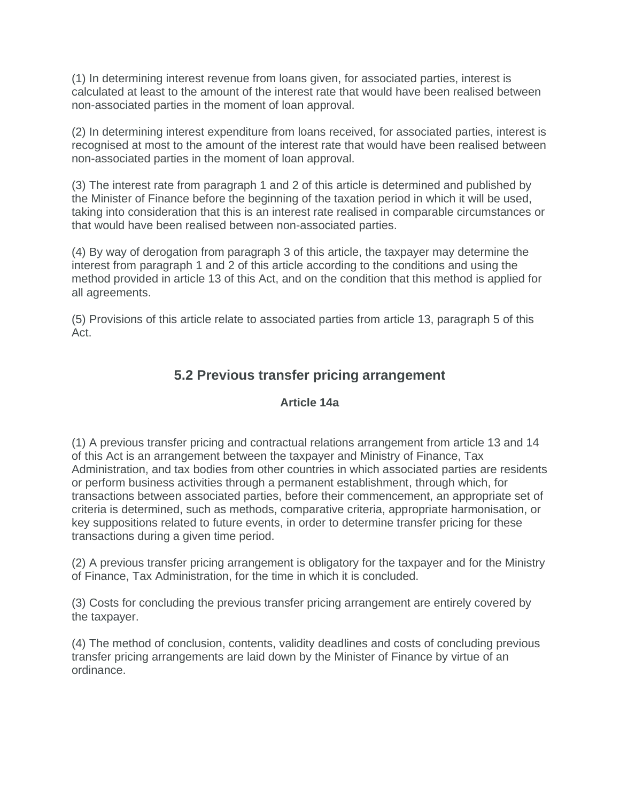(1) In determining interest revenue from loans given, for associated parties, interest is calculated at least to the amount of the interest rate that would have been realised between non-associated parties in the moment of loan approval.

(2) In determining interest expenditure from loans received, for associated parties, interest is recognised at most to the amount of the interest rate that would have been realised between non-associated parties in the moment of loan approval.

(3) The interest rate from paragraph 1 and 2 of this article is determined and published by the Minister of Finance before the beginning of the taxation period in which it will be used, taking into consideration that this is an interest rate realised in comparable circumstances or that would have been realised between non-associated parties.

(4) By way of derogation from paragraph 3 of this article, the taxpayer may determine the interest from paragraph 1 and 2 of this article according to the conditions and using the method provided in article 13 of this Act, and on the condition that this method is applied for all agreements.

(5) Provisions of this article relate to associated parties from article 13, paragraph 5 of this Act.

# **5.2 Previous transfer pricing arrangement**

### **Article 14a**

(1) A previous transfer pricing and contractual relations arrangement from article 13 and 14 of this Act is an arrangement between the taxpayer and Ministry of Finance, Tax Administration, and tax bodies from other countries in which associated parties are residents or perform business activities through a permanent establishment, through which, for transactions between associated parties, before their commencement, an appropriate set of criteria is determined, such as methods, comparative criteria, appropriate harmonisation, or key suppositions related to future events, in order to determine transfer pricing for these transactions during a given time period.

(2) A previous transfer pricing arrangement is obligatory for the taxpayer and for the Ministry of Finance, Tax Administration, for the time in which it is concluded.

(3) Costs for concluding the previous transfer pricing arrangement are entirely covered by the taxpayer.

(4) The method of conclusion, contents, validity deadlines and costs of concluding previous transfer pricing arrangements are laid down by the Minister of Finance by virtue of an ordinance.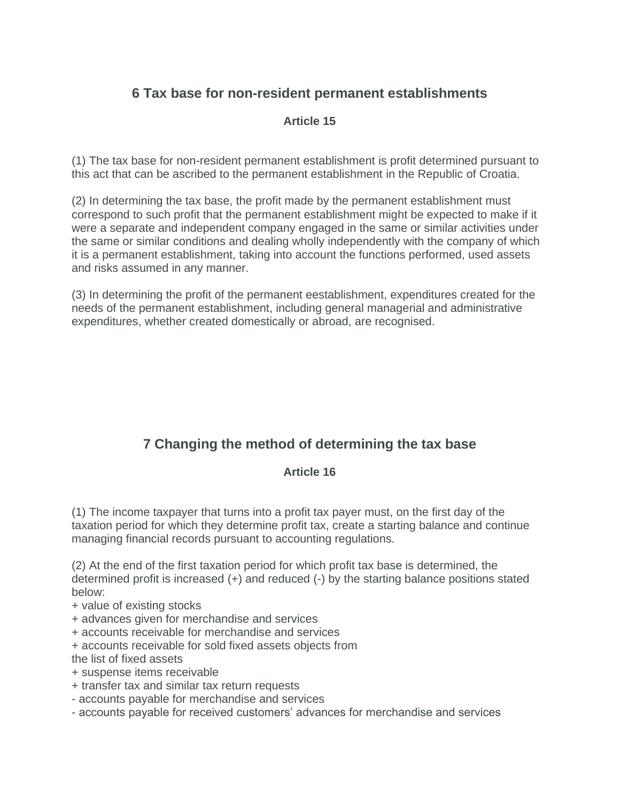# **6 Tax base for non-resident permanent establishments**

### **Article 15**

(1) The tax base for non-resident permanent establishment is profit determined pursuant to this act that can be ascribed to the permanent establishment in the Republic of Croatia.

(2) In determining the tax base, the profit made by the permanent establishment must correspond to such profit that the permanent establishment might be expected to make if it were a separate and independent company engaged in the same or similar activities under the same or similar conditions and dealing wholly independently with the company of which it is a permanent establishment, taking into account the functions performed, used assets and risks assumed in any manner.

(3) In determining the profit of the permanent eestablishment, expenditures created for the needs of the permanent establishment, including general managerial and administrative expenditures, whether created domestically or abroad, are recognised.

# **7 Changing the method of determining the tax base**

### **Article 16**

(1) The income taxpayer that turns into a profit tax payer must, on the first day of the taxation period for which they determine profit tax, create a starting balance and continue managing financial records pursuant to accounting regulations.

(2) At the end of the first taxation period for which profit tax base is determined, the determined profit is increased (+) and reduced (-) by the starting balance positions stated below:

- + value of existing stocks
- + advances given for merchandise and services
- + accounts receivable for merchandise and services
- + accounts receivable for sold fixed assets objects from

the list of fixed assets

- + suspense items receivable
- + transfer tax and similar tax return requests
- accounts payable for merchandise and services
- accounts payable for received customers' advances for merchandise and services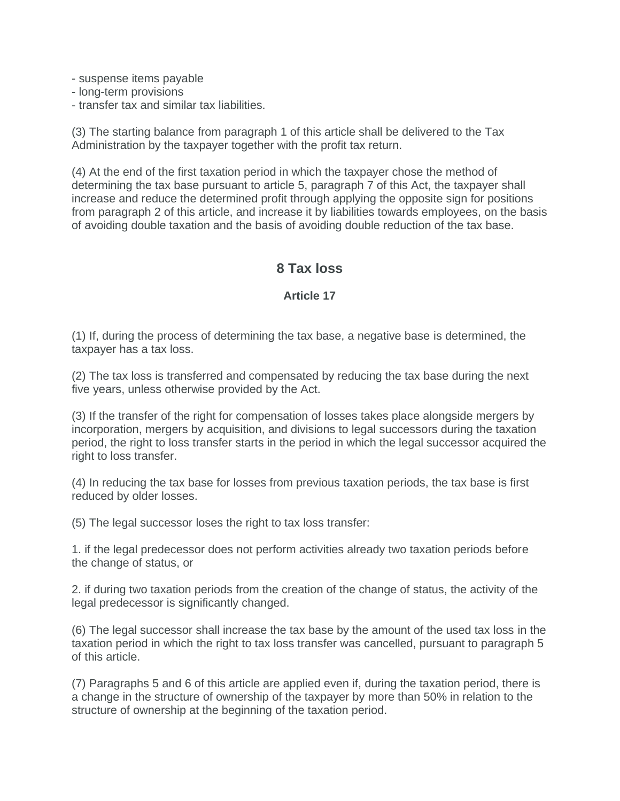- suspense items payable
- long-term provisions
- transfer tax and similar tax liabilities.

(3) The starting balance from paragraph 1 of this article shall be delivered to the Tax Administration by the taxpayer together with the profit tax return.

(4) At the end of the first taxation period in which the taxpayer chose the method of determining the tax base pursuant to article 5, paragraph 7 of this Act, the taxpayer shall increase and reduce the determined profit through applying the opposite sign for positions from paragraph 2 of this article, and increase it by liabilities towards employees, on the basis of avoiding double taxation and the basis of avoiding double reduction of the tax base.

### **8 Tax loss**

#### **Article 17**

(1) If, during the process of determining the tax base, a negative base is determined, the taxpayer has a tax loss.

(2) The tax loss is transferred and compensated by reducing the tax base during the next five years, unless otherwise provided by the Act.

(3) If the transfer of the right for compensation of losses takes place alongside mergers by incorporation, mergers by acquisition, and divisions to legal successors during the taxation period, the right to loss transfer starts in the period in which the legal successor acquired the right to loss transfer.

(4) In reducing the tax base for losses from previous taxation periods, the tax base is first reduced by older losses.

(5) The legal successor loses the right to tax loss transfer:

1. if the legal predecessor does not perform activities already two taxation periods before the change of status, or

2. if during two taxation periods from the creation of the change of status, the activity of the legal predecessor is significantly changed.

(6) The legal successor shall increase the tax base by the amount of the used tax loss in the taxation period in which the right to tax loss transfer was cancelled, pursuant to paragraph 5 of this article.

(7) Paragraphs 5 and 6 of this article are applied even if, during the taxation period, there is a change in the structure of ownership of the taxpayer by more than 50% in relation to the structure of ownership at the beginning of the taxation period.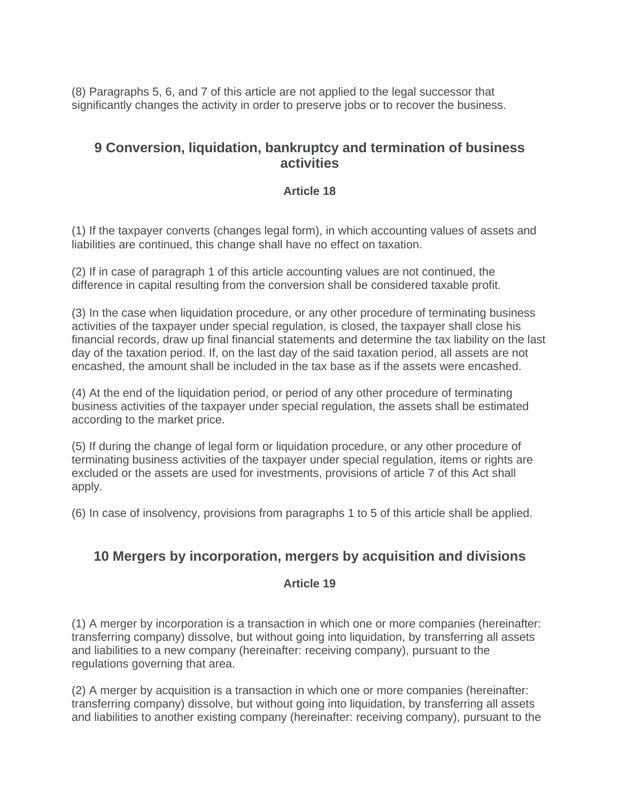(8) Paragraphs 5, 6, and 7 of this article are not applied to the legal successor that significantly changes the activity in order to preserve jobs or to recover the business.

### **9 Conversion, liquidation, bankruptcy and termination of business activities**

### **Article 18**

(1) If the taxpayer converts (changes legal form), in which accounting values of assets and liabilities are continued, this change shall have no effect on taxation.

(2) If in case of paragraph 1 of this article accounting values are not continued, the difference in capital resulting from the conversion shall be considered taxable profit.

(3) In the case when liquidation procedure, or any other procedure of terminating business activities of the taxpayer under special regulation, is closed, the taxpayer shall close his financial records, draw up final financial statements and determine the tax liability on the last day of the taxation period. If, on the last day of the said taxation period, all assets are not encashed, the amount shall be included in the tax base as if the assets were encashed.

(4) At the end of the liquidation period, or period of any other procedure of terminating business activities of the taxpayer under special regulation, the assets shall be estimated according to the market price.

(5) If during the change of legal form or liquidation procedure, or any other procedure of terminating business activities of the taxpayer under special regulation, items or rights are excluded or the assets are used for investments, provisions of article 7 of this Act shall apply.

(6) In case of insolvency, provisions from paragraphs 1 to 5 of this article shall be applied.

### **10 Mergers by incorporation, mergers by acquisition and divisions**

### **Article 19**

(1) A merger by incorporation is a transaction in which one or more companies (hereinafter: transferring company) dissolve, but without going into liquidation, by transferring all assets and liabilities to a new company (hereinafter: receiving company), pursuant to the regulations governing that area.

(2) A merger by acquisition is a transaction in which one or more companies (hereinafter: transferring company) dissolve, but without going into liquidation, by transferring all assets and liabilities to another existing company (hereinafter: receiving company), pursuant to the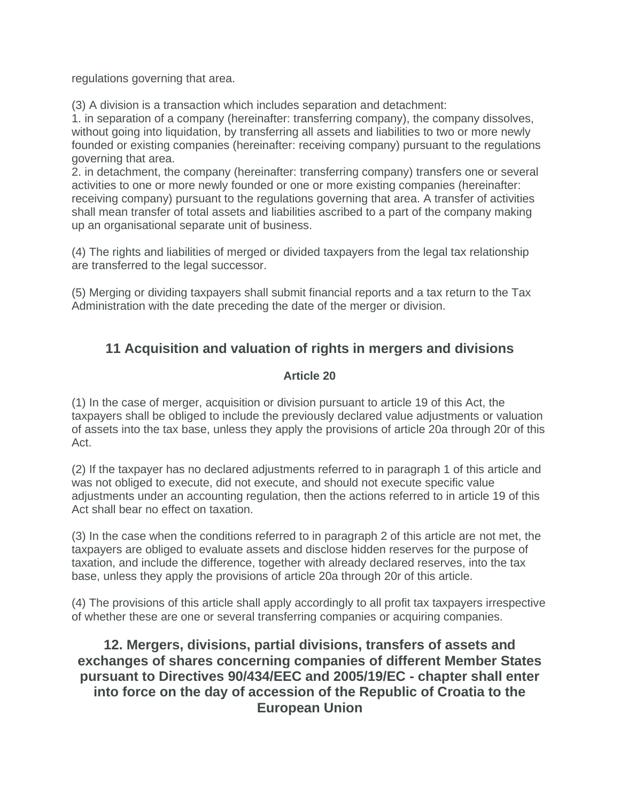regulations governing that area.

(3) A division is a transaction which includes separation and detachment:

1. in separation of a company (hereinafter: transferring company), the company dissolves, without going into liquidation, by transferring all assets and liabilities to two or more newly founded or existing companies (hereinafter: receiving company) pursuant to the regulations governing that area.

2. in detachment, the company (hereinafter: transferring company) transfers one or several activities to one or more newly founded or one or more existing companies (hereinafter: receiving company) pursuant to the regulations governing that area. A transfer of activities shall mean transfer of total assets and liabilities ascribed to a part of the company making up an organisational separate unit of business.

(4) The rights and liabilities of merged or divided taxpayers from the legal tax relationship are transferred to the legal successor.

(5) Merging or dividing taxpayers shall submit financial reports and a tax return to the Tax Administration with the date preceding the date of the merger or division.

# **11 Acquisition and valuation of rights in mergers and divisions**

### **Article 20**

(1) In the case of merger, acquisition or division pursuant to article 19 of this Act, the taxpayers shall be obliged to include the previously declared value adjustments or valuation of assets into the tax base, unless they apply the provisions of article 20a through 20r of this Act.

(2) If the taxpayer has no declared adjustments referred to in paragraph 1 of this article and was not obliged to execute, did not execute, and should not execute specific value adjustments under an accounting regulation, then the actions referred to in article 19 of this Act shall bear no effect on taxation.

(3) In the case when the conditions referred to in paragraph 2 of this article are not met, the taxpayers are obliged to evaluate assets and disclose hidden reserves for the purpose of taxation, and include the difference, together with already declared reserves, into the tax base, unless they apply the provisions of article 20a through 20r of this article.

(4) The provisions of this article shall apply accordingly to all profit tax taxpayers irrespective of whether these are one or several transferring companies or acquiring companies.

**12. Mergers, divisions, partial divisions, transfers of assets and exchanges of shares concerning companies of different Member States pursuant to Directives 90/434/EEC and 2005/19/EC - chapter shall enter into force on the day of accession of the Republic of Croatia to the European Union**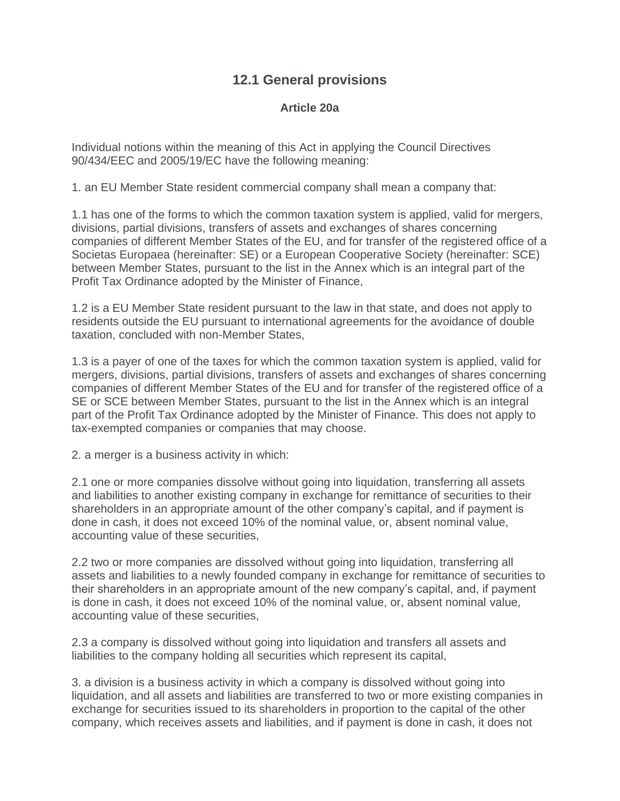# **12.1 General provisions**

### **Article 20a**

Individual notions within the meaning of this Act in applying the Council Directives 90/434/EEC and 2005/19/EC have the following meaning:

1. an EU Member State resident commercial company shall mean a company that:

1.1 has one of the forms to which the common taxation system is applied, valid for mergers, divisions, partial divisions, transfers of assets and exchanges of shares concerning companies of different Member States of the EU, and for transfer of the registered office of a Societas Europaea (hereinafter: SE) or a European Cooperative Society (hereinafter: SCE) between Member States, pursuant to the list in the Annex which is an integral part of the Profit Tax Ordinance adopted by the Minister of Finance,

1.2 is a EU Member State resident pursuant to the law in that state, and does not apply to residents outside the EU pursuant to international agreements for the avoidance of double taxation, concluded with non-Member States,

1.3 is a payer of one of the taxes for which the common taxation system is applied, valid for mergers, divisions, partial divisions, transfers of assets and exchanges of shares concerning companies of different Member States of the EU and for transfer of the registered office of a SE or SCE between Member States, pursuant to the list in the Annex which is an integral part of the Profit Tax Ordinance adopted by the Minister of Finance. This does not apply to tax-exempted companies or companies that may choose.

2. a merger is a business activity in which:

2.1 one or more companies dissolve without going into liquidation, transferring all assets and liabilities to another existing company in exchange for remittance of securities to their shareholders in an appropriate amount of the other company's capital, and if payment is done in cash, it does not exceed 10% of the nominal value, or, absent nominal value, accounting value of these securities,

2.2 two or more companies are dissolved without going into liquidation, transferring all assets and liabilities to a newly founded company in exchange for remittance of securities to their shareholders in an appropriate amount of the new company's capital, and, if payment is done in cash, it does not exceed 10% of the nominal value, or, absent nominal value, accounting value of these securities,

2.3 a company is dissolved without going into liquidation and transfers all assets and liabilities to the company holding all securities which represent its capital,

3. a division is a business activity in which a company is dissolved without going into liquidation, and all assets and liabilities are transferred to two or more existing companies in exchange for securities issued to its shareholders in proportion to the capital of the other company, which receives assets and liabilities, and if payment is done in cash, it does not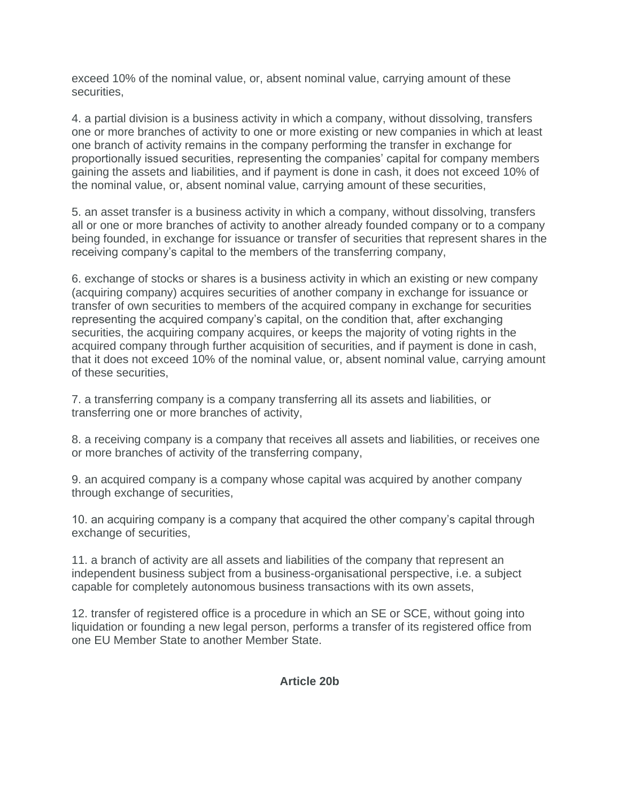exceed 10% of the nominal value, or, absent nominal value, carrying amount of these securities,

4. a partial division is a business activity in which a company, without dissolving, transfers one or more branches of activity to one or more existing or new companies in which at least one branch of activity remains in the company performing the transfer in exchange for proportionally issued securities, representing the companies' capital for company members gaining the assets and liabilities, and if payment is done in cash, it does not exceed 10% of the nominal value, or, absent nominal value, carrying amount of these securities,

5. an asset transfer is a business activity in which a company, without dissolving, transfers all or one or more branches of activity to another already founded company or to a company being founded, in exchange for issuance or transfer of securities that represent shares in the receiving company's capital to the members of the transferring company,

6. exchange of stocks or shares is a business activity in which an existing or new company (acquiring company) acquires securities of another company in exchange for issuance or transfer of own securities to members of the acquired company in exchange for securities representing the acquired company's capital, on the condition that, after exchanging securities, the acquiring company acquires, or keeps the majority of voting rights in the acquired company through further acquisition of securities, and if payment is done in cash, that it does not exceed 10% of the nominal value, or, absent nominal value, carrying amount of these securities,

7. a transferring company is a company transferring all its assets and liabilities, or transferring one or more branches of activity,

8. a receiving company is a company that receives all assets and liabilities, or receives one or more branches of activity of the transferring company,

9. an acquired company is a company whose capital was acquired by another company through exchange of securities,

10. an acquiring company is a company that acquired the other company's capital through exchange of securities,

11. a branch of activity are all assets and liabilities of the company that represent an independent business subject from a business-organisational perspective, i.e. a subject capable for completely autonomous business transactions with its own assets,

12. transfer of registered office is a procedure in which an SE or SCE, without going into liquidation or founding a new legal person, performs a transfer of its registered office from one EU Member State to another Member State.

### **Article 20b**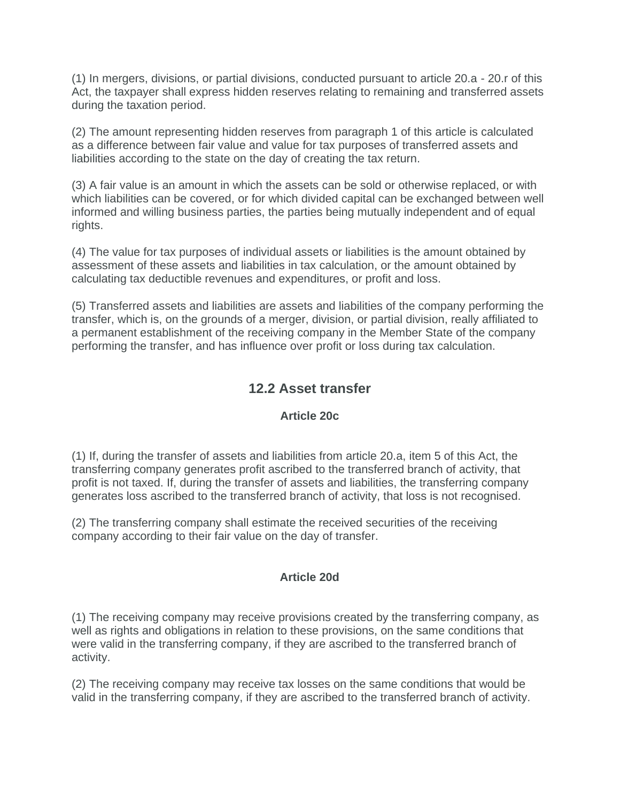(1) In mergers, divisions, or partial divisions, conducted pursuant to article 20.a - 20.r of this Act, the taxpayer shall express hidden reserves relating to remaining and transferred assets during the taxation period.

(2) The amount representing hidden reserves from paragraph 1 of this article is calculated as a difference between fair value and value for tax purposes of transferred assets and liabilities according to the state on the day of creating the tax return.

(3) A fair value is an amount in which the assets can be sold or otherwise replaced, or with which liabilities can be covered, or for which divided capital can be exchanged between well informed and willing business parties, the parties being mutually independent and of equal rights.

(4) The value for tax purposes of individual assets or liabilities is the amount obtained by assessment of these assets and liabilities in tax calculation, or the amount obtained by calculating tax deductible revenues and expenditures, or profit and loss.

(5) Transferred assets and liabilities are assets and liabilities of the company performing the transfer, which is, on the grounds of a merger, division, or partial division, really affiliated to a permanent establishment of the receiving company in the Member State of the company performing the transfer, and has influence over profit or loss during tax calculation.

# **12.2 Asset transfer**

### **Article 20c**

(1) If, during the transfer of assets and liabilities from article 20.a, item 5 of this Act, the transferring company generates profit ascribed to the transferred branch of activity, that profit is not taxed. If, during the transfer of assets and liabilities, the transferring company generates loss ascribed to the transferred branch of activity, that loss is not recognised.

(2) The transferring company shall estimate the received securities of the receiving company according to their fair value on the day of transfer.

#### **Article 20d**

(1) The receiving company may receive provisions created by the transferring company, as well as rights and obligations in relation to these provisions, on the same conditions that were valid in the transferring company, if they are ascribed to the transferred branch of activity.

(2) The receiving company may receive tax losses on the same conditions that would be valid in the transferring company, if they are ascribed to the transferred branch of activity.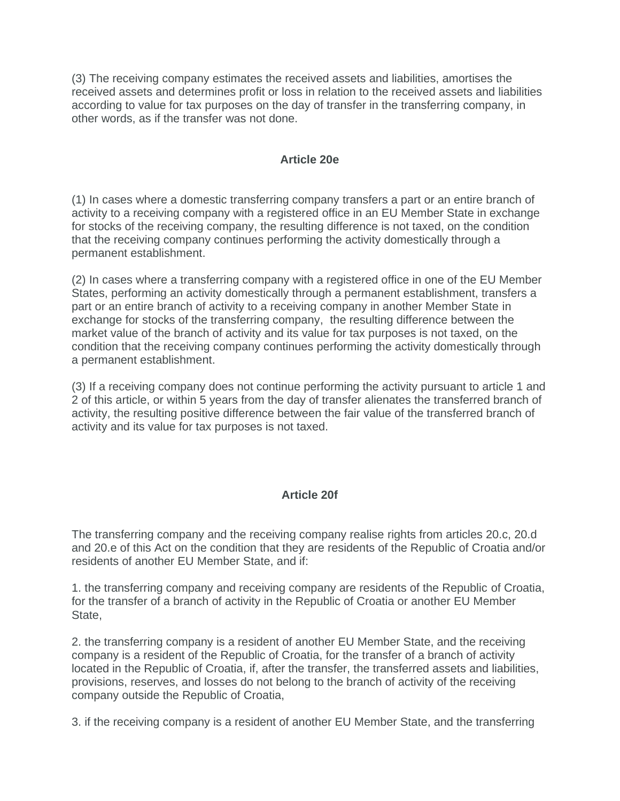(3) The receiving company estimates the received assets and liabilities, amortises the received assets and determines profit or loss in relation to the received assets and liabilities according to value for tax purposes on the day of transfer in the transferring company, in other words, as if the transfer was not done.

#### **Article 20e**

(1) In cases where a domestic transferring company transfers a part or an entire branch of activity to a receiving company with a registered office in an EU Member State in exchange for stocks of the receiving company, the resulting difference is not taxed, on the condition that the receiving company continues performing the activity domestically through a permanent establishment.

(2) In cases where a transferring company with a registered office in one of the EU Member States, performing an activity domestically through a permanent establishment, transfers a part or an entire branch of activity to a receiving company in another Member State in exchange for stocks of the transferring company, the resulting difference between the market value of the branch of activity and its value for tax purposes is not taxed, on the condition that the receiving company continues performing the activity domestically through a permanent establishment.

(3) If a receiving company does not continue performing the activity pursuant to article 1 and 2 of this article, or within 5 years from the day of transfer alienates the transferred branch of activity, the resulting positive difference between the fair value of the transferred branch of activity and its value for tax purposes is not taxed.

### **Article 20f**

The transferring company and the receiving company realise rights from articles 20.c, 20.d and 20.e of this Act on the condition that they are residents of the Republic of Croatia and/or residents of another EU Member State, and if:

1. the transferring company and receiving company are residents of the Republic of Croatia, for the transfer of a branch of activity in the Republic of Croatia or another EU Member State,

2. the transferring company is a resident of another EU Member State, and the receiving company is a resident of the Republic of Croatia, for the transfer of a branch of activity located in the Republic of Croatia, if, after the transfer, the transferred assets and liabilities, provisions, reserves, and losses do not belong to the branch of activity of the receiving company outside the Republic of Croatia,

3. if the receiving company is a resident of another EU Member State, and the transferring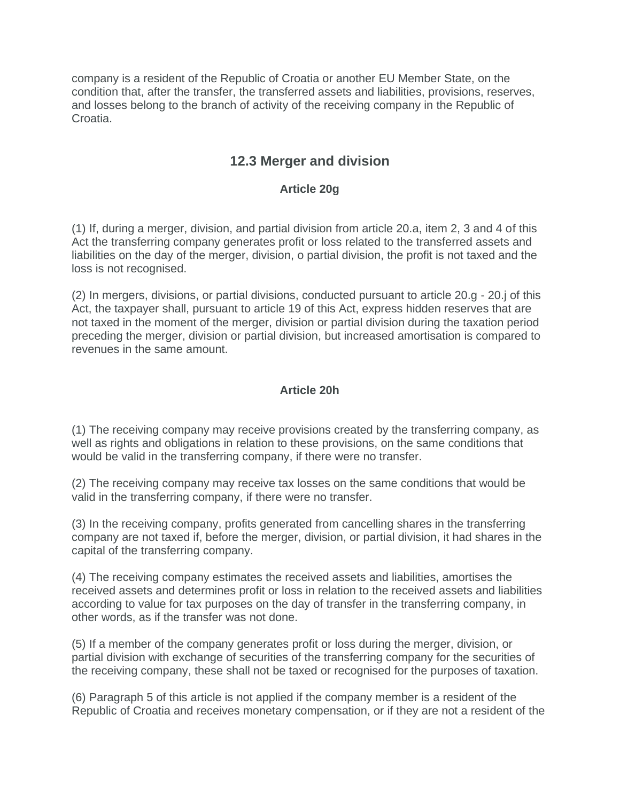company is a resident of the Republic of Croatia or another EU Member State, on the condition that, after the transfer, the transferred assets and liabilities, provisions, reserves, and losses belong to the branch of activity of the receiving company in the Republic of Croatia.

## **12.3 Merger and division**

### **Article 20g**

(1) If, during a merger, division, and partial division from article 20.a, item 2, 3 and 4 of this Act the transferring company generates profit or loss related to the transferred assets and liabilities on the day of the merger, division, o partial division, the profit is not taxed and the loss is not recognised.

(2) In mergers, divisions, or partial divisions, conducted pursuant to article 20.g - 20.j of this Act, the taxpayer shall, pursuant to article 19 of this Act, express hidden reserves that are not taxed in the moment of the merger, division or partial division during the taxation period preceding the merger, division or partial division, but increased amortisation is compared to revenues in the same amount.

### **Article 20h**

(1) The receiving company may receive provisions created by the transferring company, as well as rights and obligations in relation to these provisions, on the same conditions that would be valid in the transferring company, if there were no transfer.

(2) The receiving company may receive tax losses on the same conditions that would be valid in the transferring company, if there were no transfer.

(3) In the receiving company, profits generated from cancelling shares in the transferring company are not taxed if, before the merger, division, or partial division, it had shares in the capital of the transferring company.

(4) The receiving company estimates the received assets and liabilities, amortises the received assets and determines profit or loss in relation to the received assets and liabilities according to value for tax purposes on the day of transfer in the transferring company, in other words, as if the transfer was not done.

(5) If a member of the company generates profit or loss during the merger, division, or partial division with exchange of securities of the transferring company for the securities of the receiving company, these shall not be taxed or recognised for the purposes of taxation.

(6) Paragraph 5 of this article is not applied if the company member is a resident of the Republic of Croatia and receives monetary compensation, or if they are not a resident of the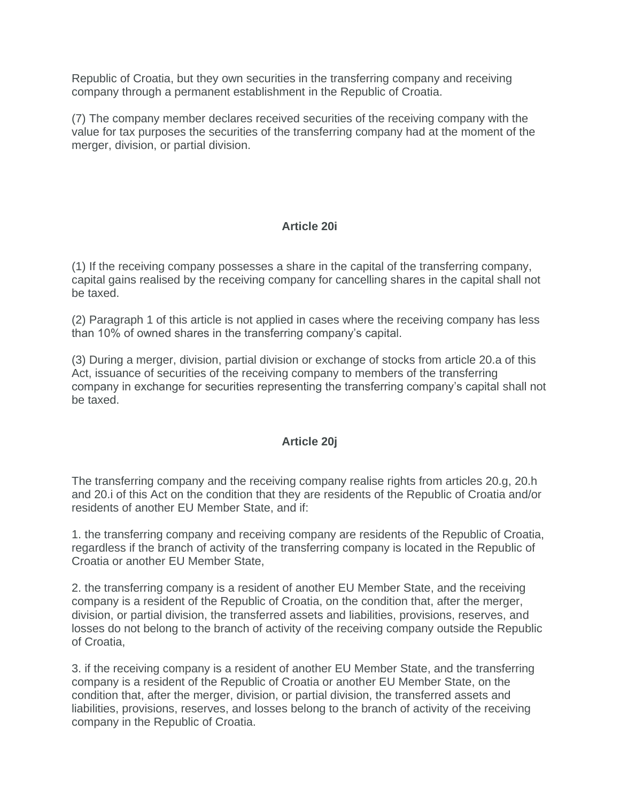Republic of Croatia, but they own securities in the transferring company and receiving company through a permanent establishment in the Republic of Croatia.

(7) The company member declares received securities of the receiving company with the value for tax purposes the securities of the transferring company had at the moment of the merger, division, or partial division.

### **Article 20i**

(1) If the receiving company possesses a share in the capital of the transferring company, capital gains realised by the receiving company for cancelling shares in the capital shall not be taxed.

(2) Paragraph 1 of this article is not applied in cases where the receiving company has less than 10% of owned shares in the transferring company's capital.

(3) During a merger, division, partial division or exchange of stocks from article 20.a of this Act, issuance of securities of the receiving company to members of the transferring company in exchange for securities representing the transferring company's capital shall not be taxed.

#### **Article 20j**

The transferring company and the receiving company realise rights from articles 20.g, 20.h and 20.i of this Act on the condition that they are residents of the Republic of Croatia and/or residents of another EU Member State, and if:

1. the transferring company and receiving company are residents of the Republic of Croatia, regardless if the branch of activity of the transferring company is located in the Republic of Croatia or another EU Member State,

2. the transferring company is a resident of another EU Member State, and the receiving company is a resident of the Republic of Croatia, on the condition that, after the merger, division, or partial division, the transferred assets and liabilities, provisions, reserves, and losses do not belong to the branch of activity of the receiving company outside the Republic of Croatia,

3. if the receiving company is a resident of another EU Member State, and the transferring company is a resident of the Republic of Croatia or another EU Member State, on the condition that, after the merger, division, or partial division, the transferred assets and liabilities, provisions, reserves, and losses belong to the branch of activity of the receiving company in the Republic of Croatia.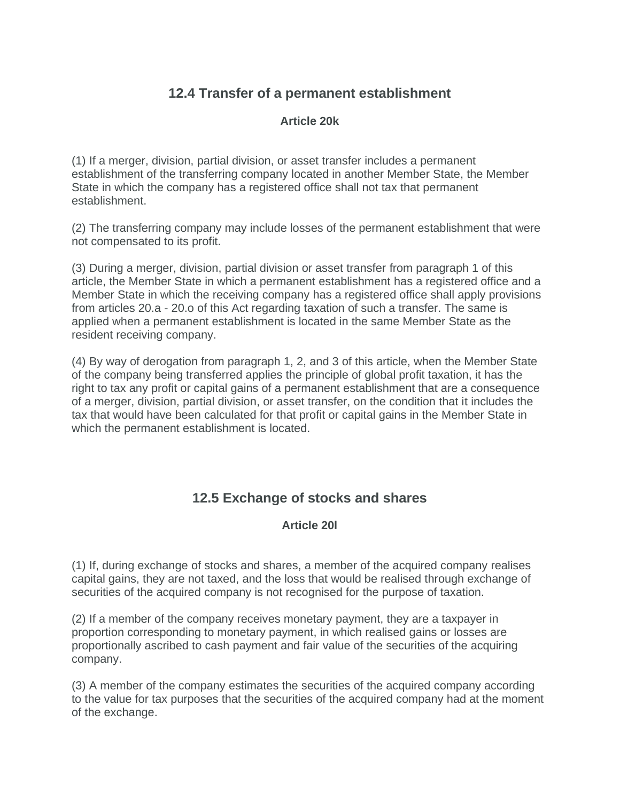# **12.4 Transfer of a permanent establishment**

### **Article 20k**

(1) If a merger, division, partial division, or asset transfer includes a permanent establishment of the transferring company located in another Member State, the Member State in which the company has a registered office shall not tax that permanent establishment.

(2) The transferring company may include losses of the permanent establishment that were not compensated to its profit.

(3) During a merger, division, partial division or asset transfer from paragraph 1 of this article, the Member State in which a permanent establishment has a registered office and a Member State in which the receiving company has a registered office shall apply provisions from articles 20.a - 20.o of this Act regarding taxation of such a transfer. The same is applied when a permanent establishment is located in the same Member State as the resident receiving company.

(4) By way of derogation from paragraph 1, 2, and 3 of this article, when the Member State of the company being transferred applies the principle of global profit taxation, it has the right to tax any profit or capital gains of a permanent establishment that are a consequence of a merger, division, partial division, or asset transfer, on the condition that it includes the tax that would have been calculated for that profit or capital gains in the Member State in which the permanent establishment is located.

# **12.5 Exchange of stocks and shares**

### **Article 20l**

(1) If, during exchange of stocks and shares, a member of the acquired company realises capital gains, they are not taxed, and the loss that would be realised through exchange of securities of the acquired company is not recognised for the purpose of taxation.

(2) If a member of the company receives monetary payment, they are a taxpayer in proportion corresponding to monetary payment, in which realised gains or losses are proportionally ascribed to cash payment and fair value of the securities of the acquiring company.

(3) A member of the company estimates the securities of the acquired company according to the value for tax purposes that the securities of the acquired company had at the moment of the exchange.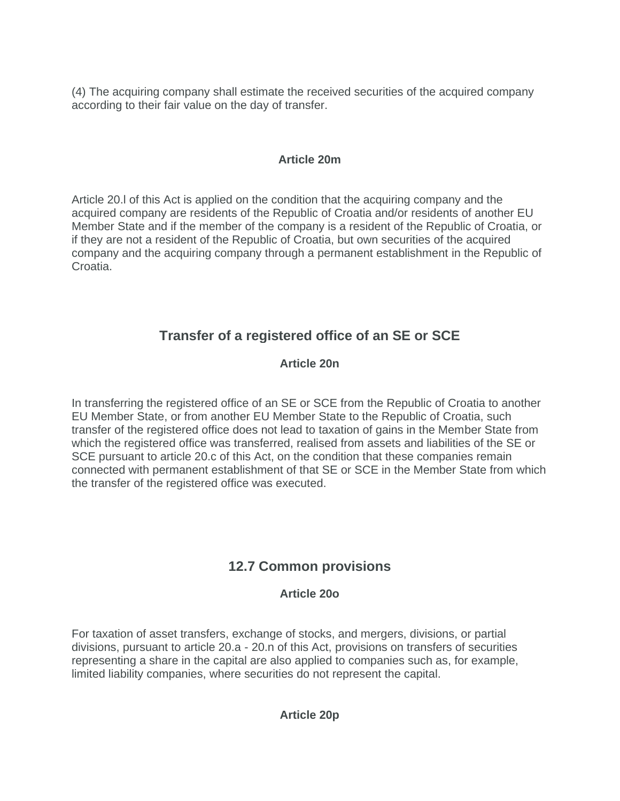(4) The acquiring company shall estimate the received securities of the acquired company according to their fair value on the day of transfer.

### **Article 20m**

Article 20.l of this Act is applied on the condition that the acquiring company and the acquired company are residents of the Republic of Croatia and/or residents of another EU Member State and if the member of the company is a resident of the Republic of Croatia, or if they are not a resident of the Republic of Croatia, but own securities of the acquired company and the acquiring company through a permanent establishment in the Republic of Croatia.

# **Transfer of a registered office of an SE or SCE**

### **Article 20n**

In transferring the registered office of an SE or SCE from the Republic of Croatia to another EU Member State, or from another EU Member State to the Republic of Croatia, such transfer of the registered office does not lead to taxation of gains in the Member State from which the registered office was transferred, realised from assets and liabilities of the SE or SCE pursuant to article 20.c of this Act, on the condition that these companies remain connected with permanent establishment of that SE or SCE in the Member State from which the transfer of the registered office was executed.

# **12.7 Common provisions**

### **Article 20o**

For taxation of asset transfers, exchange of stocks, and mergers, divisions, or partial divisions, pursuant to article 20.a - 20.n of this Act, provisions on transfers of securities representing a share in the capital are also applied to companies such as, for example, limited liability companies, where securities do not represent the capital.

### **Article 20p**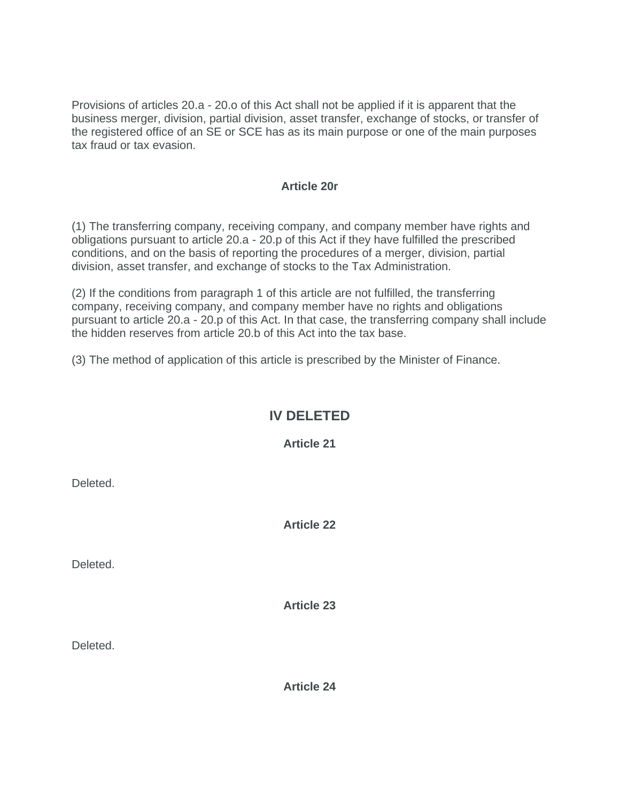Provisions of articles 20.a - 20.o of this Act shall not be applied if it is apparent that the business merger, division, partial division, asset transfer, exchange of stocks, or transfer of the registered office of an SE or SCE has as its main purpose or one of the main purposes tax fraud or tax evasion.

### **Article 20r**

(1) The transferring company, receiving company, and company member have rights and obligations pursuant to article 20.a - 20.p of this Act if they have fulfilled the prescribed conditions, and on the basis of reporting the procedures of a merger, division, partial division, asset transfer, and exchange of stocks to the Tax Administration.

(2) If the conditions from paragraph 1 of this article are not fulfilled, the transferring company, receiving company, and company member have no rights and obligations pursuant to article 20.a - 20.p of this Act. In that case, the transferring company shall include the hidden reserves from article 20.b of this Act into the tax base.

(3) The method of application of this article is prescribed by the Minister of Finance.

### **IV DELETED**

**Article 21**

Deleted.

**Article 22**

Deleted.

**Article 23**

Deleted.

**Article 24**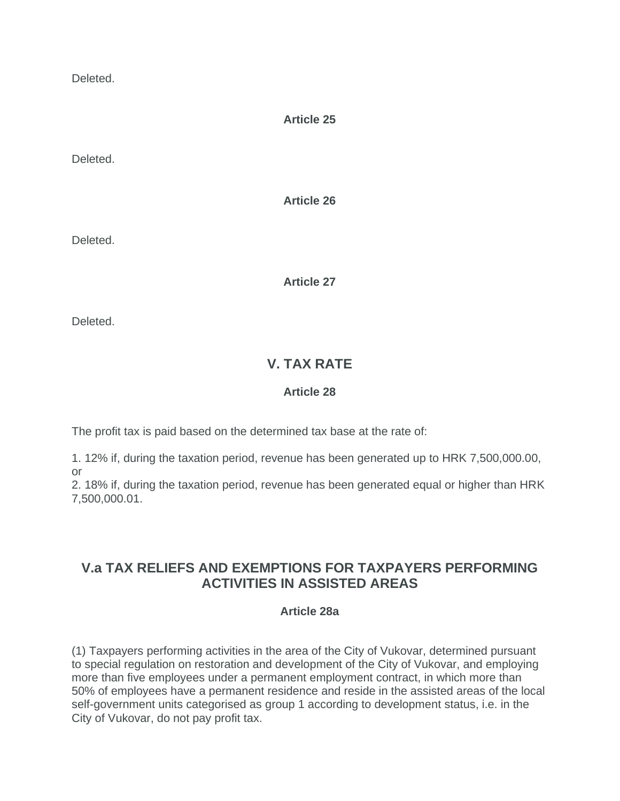Deleted.

**Article 25**

Deleted.

**Article 26**

Deleted.

**Article 27**

Deleted.

# **V. TAX RATE**

### **Article 28**

The profit tax is paid based on the determined tax base at the rate of:

1. 12% if, during the taxation period, revenue has been generated up to HRK 7,500,000.00, or

2. 18% if, during the taxation period, revenue has been generated equal or higher than HRK 7,500,000.01.

# **V.a TAX RELIEFS AND EXEMPTIONS FOR TAXPAYERS PERFORMING ACTIVITIES IN ASSISTED AREAS**

### **Article 28a**

(1) Taxpayers performing activities in the area of the City of Vukovar, determined pursuant to special regulation on restoration and development of the City of Vukovar, and employing more than five employees under a permanent employment contract, in which more than 50% of employees have a permanent residence and reside in the assisted areas of the local self-government units categorised as group 1 according to development status, i.e. in the City of Vukovar, do not pay profit tax.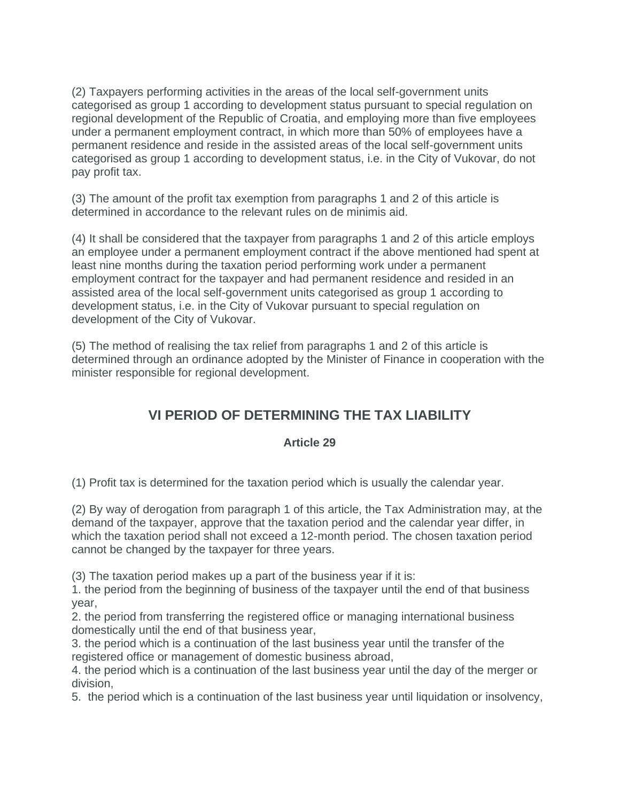(2) Taxpayers performing activities in the areas of the local self-government units categorised as group 1 according to development status pursuant to special regulation on regional development of the Republic of Croatia, and employing more than five employees under a permanent employment contract, in which more than 50% of employees have a permanent residence and reside in the assisted areas of the local self-government units categorised as group 1 according to development status, i.e. in the City of Vukovar, do not pay profit tax.

(3) The amount of the profit tax exemption from paragraphs 1 and 2 of this article is determined in accordance to the relevant rules on de minimis aid.

(4) It shall be considered that the taxpayer from paragraphs 1 and 2 of this article employs an employee under a permanent employment contract if the above mentioned had spent at least nine months during the taxation period performing work under a permanent employment contract for the taxpayer and had permanent residence and resided in an assisted area of the local self-government units categorised as group 1 according to development status, i.e. in the City of Vukovar pursuant to special regulation on development of the City of Vukovar.

(5) The method of realising the tax relief from paragraphs 1 and 2 of this article is determined through an ordinance adopted by the Minister of Finance in cooperation with the minister responsible for regional development.

# **VI PERIOD OF DETERMINING THE TAX LIABILITY**

### **Article 29**

(1) Profit tax is determined for the taxation period which is usually the calendar year.

(2) By way of derogation from paragraph 1 of this article, the Tax Administration may, at the demand of the taxpayer, approve that the taxation period and the calendar year differ, in which the taxation period shall not exceed a 12-month period. The chosen taxation period cannot be changed by the taxpayer for three years.

(3) The taxation period makes up a part of the business year if it is:

1. the period from the beginning of business of the taxpayer until the end of that business year,

2. the period from transferring the registered office or managing international business domestically until the end of that business year,

3. the period which is a continuation of the last business year until the transfer of the registered office or management of domestic business abroad,

4. the period which is a continuation of the last business year until the day of the merger or division,

5. the period which is a continuation of the last business year until liquidation or insolvency,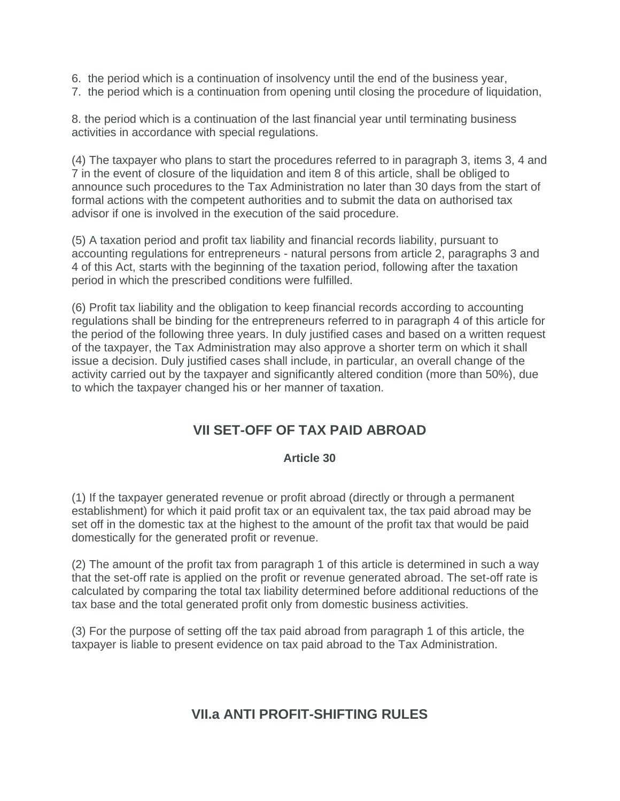- 6. the period which is a continuation of insolvency until the end of the business year,
- 7. the period which is a continuation from opening until closing the procedure of liquidation,

8. the period which is a continuation of the last financial year until terminating business activities in accordance with special regulations.

(4) The taxpayer who plans to start the procedures referred to in paragraph 3, items 3, 4 and 7 in the event of closure of the liquidation and item 8 of this article, shall be obliged to announce such procedures to the Tax Administration no later than 30 days from the start of formal actions with the competent authorities and to submit the data on authorised tax advisor if one is involved in the execution of the said procedure.

(5) A taxation period and profit tax liability and financial records liability, pursuant to accounting regulations for entrepreneurs - natural persons from article 2, paragraphs 3 and 4 of this Act, starts with the beginning of the taxation period, following after the taxation period in which the prescribed conditions were fulfilled.

(6) Profit tax liability and the obligation to keep financial records according to accounting regulations shall be binding for the entrepreneurs referred to in paragraph 4 of this article for the period of the following three years. In duly justified cases and based on a written request of the taxpayer, the Tax Administration may also approve a shorter term on which it shall issue a decision. Duly justified cases shall include, in particular, an overall change of the activity carried out by the taxpayer and significantly altered condition (more than 50%), due to which the taxpayer changed his or her manner of taxation.

# **VII SET-OFF OF TAX PAID ABROAD**

### **Article 30**

(1) If the taxpayer generated revenue or profit abroad (directly or through a permanent establishment) for which it paid profit tax or an equivalent tax, the tax paid abroad may be set off in the domestic tax at the highest to the amount of the profit tax that would be paid domestically for the generated profit or revenue.

(2) The amount of the profit tax from paragraph 1 of this article is determined in such a way that the set-off rate is applied on the profit or revenue generated abroad. The set-off rate is calculated by comparing the total tax liability determined before additional reductions of the tax base and the total generated profit only from domestic business activities.

(3) For the purpose of setting off the tax paid abroad from paragraph 1 of this article, the taxpayer is liable to present evidence on tax paid abroad to the Tax Administration.

# **VII.a ANTI PROFIT-SHIFTING RULES**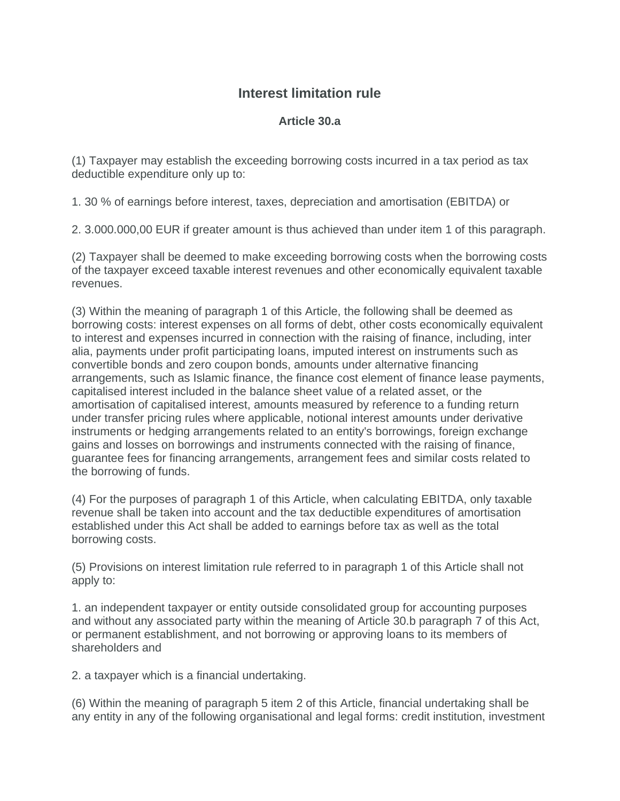# **Interest limitation rule**

### **Article 30.a**

(1) Taxpayer may establish the exceeding borrowing costs incurred in a tax period as tax deductible expenditure only up to:

1. 30 % of earnings before interest, taxes, depreciation and amortisation (EBITDA) or

2. 3.000.000,00 EUR if greater amount is thus achieved than under item 1 of this paragraph.

(2) Taxpayer shall be deemed to make exceeding borrowing costs when the borrowing costs of the taxpayer exceed taxable interest revenues and other economically equivalent taxable revenues.

(3) Within the meaning of paragraph 1 of this Article, the following shall be deemed as borrowing costs: interest expenses on all forms of debt, other costs economically equivalent to interest and expenses incurred in connection with the raising of finance, including, inter alia, payments under profit participating loans, imputed interest on instruments such as convertible bonds and zero coupon bonds, amounts under alternative financing arrangements, such as Islamic finance, the finance cost element of finance lease payments, capitalised interest included in the balance sheet value of a related asset, or the amortisation of capitalised interest, amounts measured by reference to a funding return under transfer pricing rules where applicable, notional interest amounts under derivative instruments or hedging arrangements related to an entity's borrowings, foreign exchange gains and losses on borrowings and instruments connected with the raising of finance, guarantee fees for financing arrangements, arrangement fees and similar costs related to the borrowing of funds.

(4) For the purposes of paragraph 1 of this Article, when calculating EBITDA, only taxable revenue shall be taken into account and the tax deductible expenditures of amortisation established under this Act shall be added to earnings before tax as well as the total borrowing costs.

(5) Provisions on interest limitation rule referred to in paragraph 1 of this Article shall not apply to:

1. an independent taxpayer or entity outside consolidated group for accounting purposes and without any associated party within the meaning of Article 30.b paragraph 7 of this Act, or permanent establishment, and not borrowing or approving loans to its members of shareholders and

2. a taxpayer which is a financial undertaking.

(6) Within the meaning of paragraph 5 item 2 of this Article, financial undertaking shall be any entity in any of the following organisational and legal forms: credit institution, investment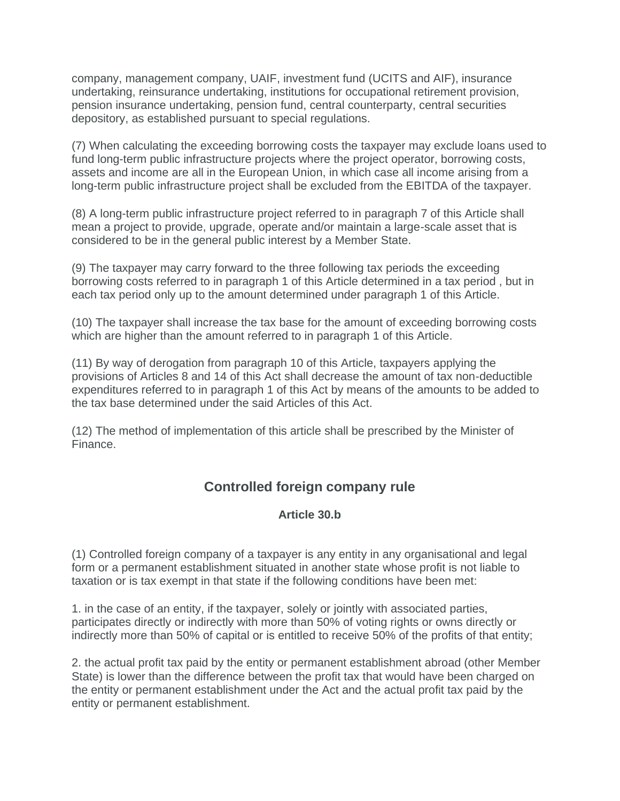company, management company, UAIF, investment fund (UCITS and AIF), insurance undertaking, reinsurance undertaking, institutions for occupational retirement provision, pension insurance undertaking, pension fund, central counterparty, central securities depository, as established pursuant to special regulations.

(7) When calculating the exceeding borrowing costs the taxpayer may exclude loans used to fund long-term public infrastructure projects where the project operator, borrowing costs, assets and income are all in the European Union, in which case all income arising from a long-term public infrastructure project shall be excluded from the EBITDA of the taxpayer.

(8) A long-term public infrastructure project referred to in paragraph 7 of this Article shall mean a project to provide, upgrade, operate and/or maintain a large-scale asset that is considered to be in the general public interest by a Member State.

(9) The taxpayer may carry forward to the three following tax periods the exceeding borrowing costs referred to in paragraph 1 of this Article determined in a tax period , but in each tax period only up to the amount determined under paragraph 1 of this Article.

(10) The taxpayer shall increase the tax base for the amount of exceeding borrowing costs which are higher than the amount referred to in paragraph 1 of this Article.

(11) By way of derogation from paragraph 10 of this Article, taxpayers applying the provisions of Articles 8 and 14 of this Act shall decrease the amount of tax non-deductible expenditures referred to in paragraph 1 of this Act by means of the amounts to be added to the tax base determined under the said Articles of this Act.

(12) The method of implementation of this article shall be prescribed by the Minister of Finance.

### **Controlled foreign company rule**

### **Article 30.b**

(1) Controlled foreign company of a taxpayer is any entity in any organisational and legal form or a permanent establishment situated in another state whose profit is not liable to taxation or is tax exempt in that state if the following conditions have been met:

1. in the case of an entity, if the taxpayer, solely or jointly with associated parties, participates directly or indirectly with more than 50% of voting rights or owns directly or indirectly more than 50% of capital or is entitled to receive 50% of the profits of that entity;

2. the actual profit tax paid by the entity or permanent establishment abroad (other Member State) is lower than the difference between the profit tax that would have been charged on the entity or permanent establishment under the Act and the actual profit tax paid by the entity or permanent establishment.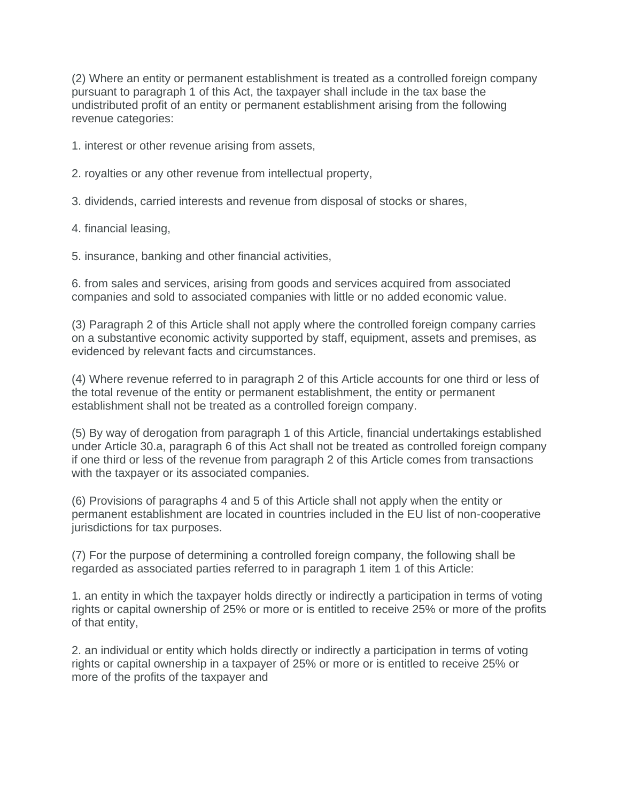(2) Where an entity or permanent establishment is treated as a controlled foreign company pursuant to paragraph 1 of this Act, the taxpayer shall include in the tax base the undistributed profit of an entity or permanent establishment arising from the following revenue categories:

1. interest or other revenue arising from assets,

2. royalties or any other revenue from intellectual property,

3. dividends, carried interests and revenue from disposal of stocks or shares,

4. financial leasing,

5. insurance, banking and other financial activities,

6. from sales and services, arising from goods and services acquired from associated companies and sold to associated companies with little or no added economic value.

(3) Paragraph 2 of this Article shall not apply where the controlled foreign company carries on a substantive economic activity supported by staff, equipment, assets and premises, as evidenced by relevant facts and circumstances.

(4) Where revenue referred to in paragraph 2 of this Article accounts for one third or less of the total revenue of the entity or permanent establishment, the entity or permanent establishment shall not be treated as a controlled foreign company.

(5) By way of derogation from paragraph 1 of this Article, financial undertakings established under Article 30.a, paragraph 6 of this Act shall not be treated as controlled foreign company if one third or less of the revenue from paragraph 2 of this Article comes from transactions with the taxpayer or its associated companies.

(6) Provisions of paragraphs 4 and 5 of this Article shall not apply when the entity or permanent establishment are located in countries included in the EU list of non-cooperative jurisdictions for tax purposes.

(7) For the purpose of determining a controlled foreign company, the following shall be regarded as associated parties referred to in paragraph 1 item 1 of this Article:

1. an entity in which the taxpayer holds directly or indirectly a participation in terms of voting rights or capital ownership of 25% or more or is entitled to receive 25% or more of the profits of that entity,

2. an individual or entity which holds directly or indirectly a participation in terms of voting rights or capital ownership in a taxpayer of 25% or more or is entitled to receive 25% or more of the profits of the taxpayer and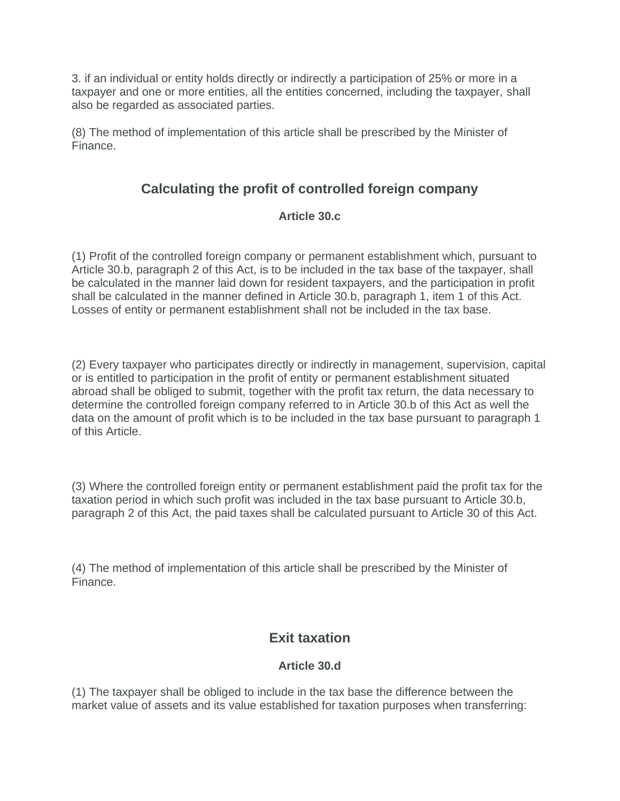3. if an individual or entity holds directly or indirectly a participation of 25% or more in a taxpayer and one or more entities, all the entities concerned, including the taxpayer, shall also be regarded as associated parties.

(8) The method of implementation of this article shall be prescribed by the Minister of Finance.

# **Calculating the profit of controlled foreign company**

### **Article 30.c**

(1) Profit of the controlled foreign company or permanent establishment which, pursuant to Article 30.b, paragraph 2 of this Act, is to be included in the tax base of the taxpayer, shall be calculated in the manner laid down for resident taxpayers, and the participation in profit shall be calculated in the manner defined in Article 30.b, paragraph 1, item 1 of this Act. Losses of entity or permanent establishment shall not be included in the tax base.

(2) Every taxpayer who participates directly or indirectly in management, supervision, capital or is entitled to participation in the profit of entity or permanent establishment situated abroad shall be obliged to submit, together with the profit tax return, the data necessary to determine the controlled foreign company referred to in Article 30.b of this Act as well the data on the amount of profit which is to be included in the tax base pursuant to paragraph 1 of this Article.

(3) Where the controlled foreign entity or permanent establishment paid the profit tax for the taxation period in which such profit was included in the tax base pursuant to Article 30.b, paragraph 2 of this Act, the paid taxes shall be calculated pursuant to Article 30 of this Act.

(4) The method of implementation of this article shall be prescribed by the Minister of Finance.

# **Exit taxation**

### **Article 30.d**

(1) The taxpayer shall be obliged to include in the tax base the difference between the market value of assets and its value established for taxation purposes when transferring: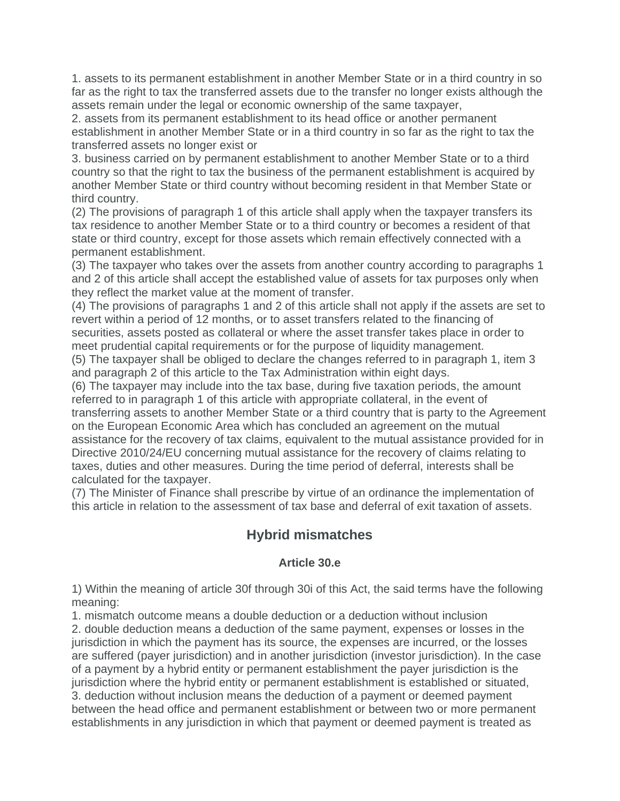1. assets to its permanent establishment in another Member State or in a third country in so far as the right to tax the transferred assets due to the transfer no longer exists although the assets remain under the legal or economic ownership of the same taxpayer,

2. assets from its permanent establishment to its head office or another permanent establishment in another Member State or in a third country in so far as the right to tax the transferred assets no longer exist or

3. business carried on by permanent establishment to another Member State or to a third country so that the right to tax the business of the permanent establishment is acquired by another Member State or third country without becoming resident in that Member State or third country.

(2) The provisions of paragraph 1 of this article shall apply when the taxpayer transfers its tax residence to another Member State or to a third country or becomes a resident of that state or third country, except for those assets which remain effectively connected with a permanent establishment.

(3) The taxpayer who takes over the assets from another country according to paragraphs 1 and 2 of this article shall accept the established value of assets for tax purposes only when they reflect the market value at the moment of transfer.

(4) The provisions of paragraphs 1 and 2 of this article shall not apply if the assets are set to revert within a period of 12 months, or to asset transfers related to the financing of securities, assets posted as collateral or where the asset transfer takes place in order to meet prudential capital requirements or for the purpose of liquidity management.

(5) The taxpayer shall be obliged to declare the changes referred to in paragraph 1, item 3 and paragraph 2 of this article to the Tax Administration within eight days.

(6) The taxpayer may include into the tax base, during five taxation periods, the amount referred to in paragraph 1 of this article with appropriate collateral, in the event of transferring assets to another Member State or a third country that is party to the Agreement on the European Economic Area which has concluded an agreement on the mutual assistance for the recovery of tax claims, equivalent to the mutual assistance provided for in Directive 2010/24/EU concerning mutual assistance for the recovery of claims relating to taxes, duties and other measures. During the time period of deferral, interests shall be calculated for the taxpayer.

(7) The Minister of Finance shall prescribe by virtue of an ordinance the implementation of this article in relation to the assessment of tax base and deferral of exit taxation of assets.

### **Hybrid mismatches**

### **Article 30.e**

1) Within the meaning of article 30f through 30i of this Act, the said terms have the following meaning:

1. mismatch outcome means a double deduction or a deduction without inclusion

2. double deduction means a deduction of the same payment, expenses or losses in the jurisdiction in which the payment has its source, the expenses are incurred, or the losses are suffered (payer jurisdiction) and in another jurisdiction (investor jurisdiction). In the case of a payment by a hybrid entity or permanent establishment the payer jurisdiction is the jurisdiction where the hybrid entity or permanent establishment is established or situated, 3. deduction without inclusion means the deduction of a payment or deemed payment between the head office and permanent establishment or between two or more permanent establishments in any jurisdiction in which that payment or deemed payment is treated as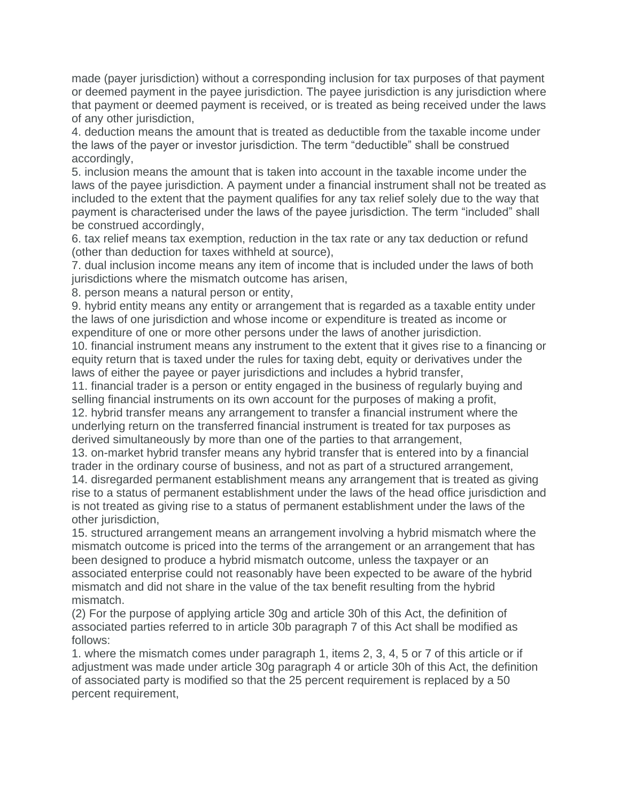made (payer jurisdiction) without a corresponding inclusion for tax purposes of that payment or deemed payment in the payee jurisdiction. The payee jurisdiction is any jurisdiction where that payment or deemed payment is received, or is treated as being received under the laws of any other jurisdiction,

4. deduction means the amount that is treated as deductible from the taxable income under the laws of the payer or investor jurisdiction. The term "deductible" shall be construed accordingly,

5. inclusion means the amount that is taken into account in the taxable income under the laws of the payee jurisdiction. A payment under a financial instrument shall not be treated as included to the extent that the payment qualifies for any tax relief solely due to the way that payment is characterised under the laws of the payee jurisdiction. The term "included" shall be construed accordingly,

6. tax relief means tax exemption, reduction in the tax rate or any tax deduction or refund (other than deduction for taxes withheld at source),

7. dual inclusion income means any item of income that is included under the laws of both jurisdictions where the mismatch outcome has arisen,

8. person means a natural person or entity,

9. hybrid entity means any entity or arrangement that is regarded as a taxable entity under the laws of one jurisdiction and whose income or expenditure is treated as income or expenditure of one or more other persons under the laws of another jurisdiction.

10. financial instrument means any instrument to the extent that it gives rise to a financing or equity return that is taxed under the rules for taxing debt, equity or derivatives under the laws of either the payee or payer jurisdictions and includes a hybrid transfer,

11. financial trader is a person or entity engaged in the business of regularly buying and selling financial instruments on its own account for the purposes of making a profit, 12. hybrid transfer means any arrangement to transfer a financial instrument where the underlying return on the transferred financial instrument is treated for tax purposes as derived simultaneously by more than one of the parties to that arrangement,

13. on-market hybrid transfer means any hybrid transfer that is entered into by a financial trader in the ordinary course of business, and not as part of a structured arrangement,

14. disregarded permanent establishment means any arrangement that is treated as giving rise to a status of permanent establishment under the laws of the head office jurisdiction and is not treated as giving rise to a status of permanent establishment under the laws of the other jurisdiction,

15. structured arrangement means an arrangement involving a hybrid mismatch where the mismatch outcome is priced into the terms of the arrangement or an arrangement that has been designed to produce a hybrid mismatch outcome, unless the taxpayer or an associated enterprise could not reasonably have been expected to be aware of the hybrid mismatch and did not share in the value of the tax benefit resulting from the hybrid mismatch.

(2) For the purpose of applying article 30g and article 30h of this Act, the definition of associated parties referred to in article 30b paragraph 7 of this Act shall be modified as follows:

1. where the mismatch comes under paragraph 1, items 2, 3, 4, 5 or 7 of this article or if adjustment was made under article 30g paragraph 4 or article 30h of this Act, the definition of associated party is modified so that the 25 percent requirement is replaced by a 50 percent requirement,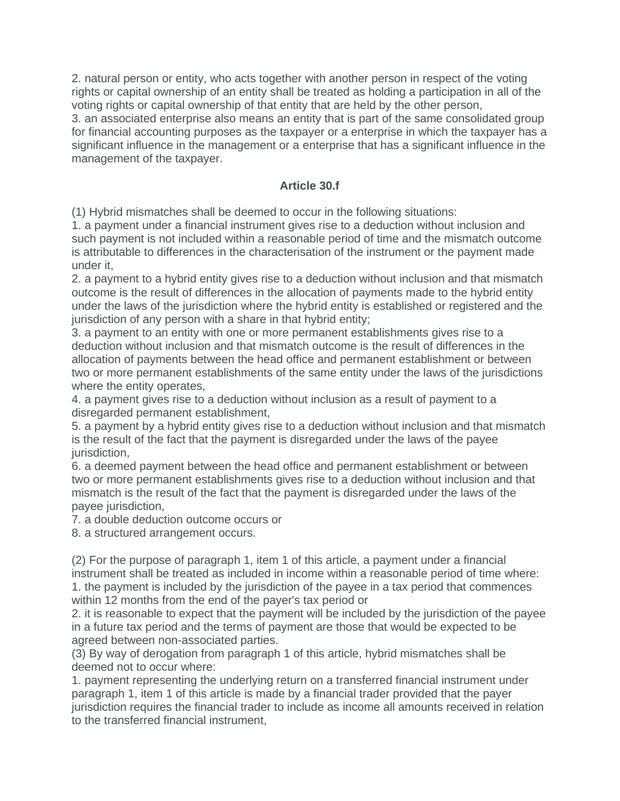2. natural person or entity, who acts together with another person in respect of the voting rights or capital ownership of an entity shall be treated as holding a participation in all of the voting rights or capital ownership of that entity that are held by the other person,

3. an associated enterprise also means an entity that is part of the same consolidated group for financial accounting purposes as the taxpayer or a enterprise in which the taxpayer has a significant influence in the management or a enterprise that has a significant influence in the management of the taxpayer.

### **Article 30.f**

(1) Hybrid mismatches shall be deemed to occur in the following situations:

1. a payment under a financial instrument gives rise to a deduction without inclusion and such payment is not included within a reasonable period of time and the mismatch outcome is attributable to differences in the characterisation of the instrument or the payment made under it,

2. a payment to a hybrid entity gives rise to a deduction without inclusion and that mismatch outcome is the result of differences in the allocation of payments made to the hybrid entity under the laws of the jurisdiction where the hybrid entity is established or registered and the jurisdiction of any person with a share in that hybrid entity;

3. a payment to an entity with one or more permanent establishments gives rise to a deduction without inclusion and that mismatch outcome is the result of differences in the allocation of payments between the head office and permanent establishment or between two or more permanent establishments of the same entity under the laws of the jurisdictions where the entity operates,

4. a payment gives rise to a deduction without inclusion as a result of payment to a disregarded permanent establishment,

5. a payment by a hybrid entity gives rise to a deduction without inclusion and that mismatch is the result of the fact that the payment is disregarded under the laws of the payee jurisdiction.

6. a deemed payment between the head office and permanent establishment or between two or more permanent establishments gives rise to a deduction without inclusion and that mismatch is the result of the fact that the payment is disregarded under the laws of the payee jurisdiction,

7. a double deduction outcome occurs or

8. a structured arrangement occurs.

(2) For the purpose of paragraph 1, item 1 of this article, a payment under a financial instrument shall be treated as included in income within a reasonable period of time where: 1. the payment is included by the jurisdiction of the payee in a tax period that commences within 12 months from the end of the payer's tax period or

2. it is reasonable to expect that the payment will be included by the jurisdiction of the payee in a future tax period and the terms of payment are those that would be expected to be agreed between non-associated parties.

(3) By way of derogation from paragraph 1 of this article, hybrid mismatches shall be deemed not to occur where:

1. payment representing the underlying return on a transferred financial instrument under paragraph 1, item 1 of this article is made by a financial trader provided that the payer jurisdiction requires the financial trader to include as income all amounts received in relation to the transferred financial instrument,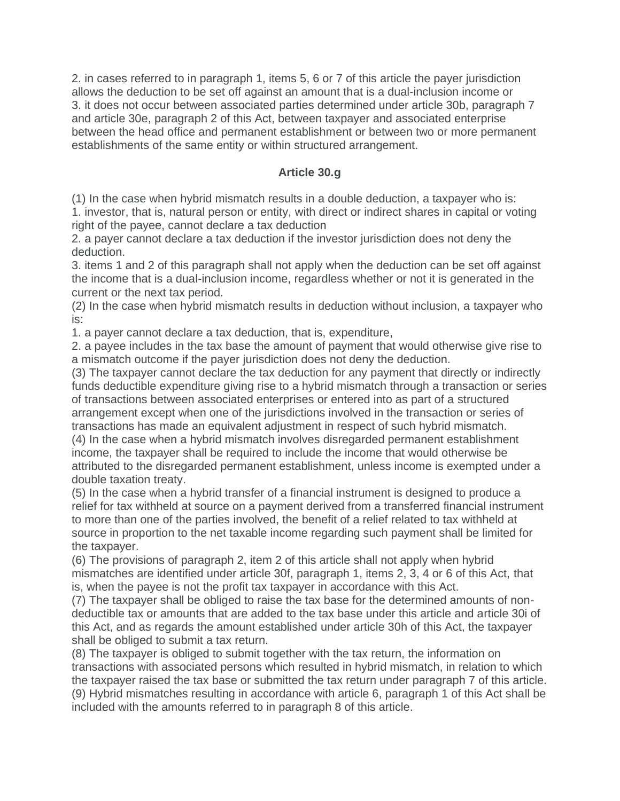2. in cases referred to in paragraph 1, items 5, 6 or 7 of this article the payer jurisdiction allows the deduction to be set off against an amount that is a dual-inclusion income or 3. it does not occur between associated parties determined under article 30b, paragraph 7 and article 30e, paragraph 2 of this Act, between taxpayer and associated enterprise between the head office and permanent establishment or between two or more permanent establishments of the same entity or within structured arrangement.

#### **Article 30.g**

(1) In the case when hybrid mismatch results in a double deduction, a taxpayer who is: 1. investor, that is, natural person or entity, with direct or indirect shares in capital or voting right of the payee, cannot declare a tax deduction

2. a payer cannot declare a tax deduction if the investor jurisdiction does not deny the deduction.

3. items 1 and 2 of this paragraph shall not apply when the deduction can be set off against the income that is a dual-inclusion income, regardless whether or not it is generated in the current or the next tax period.

(2) In the case when hybrid mismatch results in deduction without inclusion, a taxpayer who is:

1. a payer cannot declare a tax deduction, that is, expenditure,

2. a payee includes in the tax base the amount of payment that would otherwise give rise to a mismatch outcome if the payer jurisdiction does not deny the deduction.

(3) The taxpayer cannot declare the tax deduction for any payment that directly or indirectly funds deductible expenditure giving rise to a hybrid mismatch through a transaction or series of transactions between associated enterprises or entered into as part of a structured arrangement except when one of the jurisdictions involved in the transaction or series of transactions has made an equivalent adjustment in respect of such hybrid mismatch.

(4) In the case when a hybrid mismatch involves disregarded permanent establishment income, the taxpayer shall be required to include the income that would otherwise be attributed to the disregarded permanent establishment, unless income is exempted under a double taxation treaty.

(5) In the case when a hybrid transfer of a financial instrument is designed to produce a relief for tax withheld at source on a payment derived from a transferred financial instrument to more than one of the parties involved, the benefit of a relief related to tax withheld at source in proportion to the net taxable income regarding such payment shall be limited for the taxpayer.

(6) The provisions of paragraph 2, item 2 of this article shall not apply when hybrid mismatches are identified under article 30f, paragraph 1, items 2, 3, 4 or 6 of this Act, that is, when the payee is not the profit tax taxpayer in accordance with this Act.

(7) The taxpayer shall be obliged to raise the tax base for the determined amounts of nondeductible tax or amounts that are added to the tax base under this article and article 30i of this Act, and as regards the amount established under article 30h of this Act, the taxpayer shall be obliged to submit a tax return.

(8) The taxpayer is obliged to submit together with the tax return, the information on transactions with associated persons which resulted in hybrid mismatch, in relation to which the taxpayer raised the tax base or submitted the tax return under paragraph 7 of this article. (9) Hybrid mismatches resulting in accordance with article 6, paragraph 1 of this Act shall be included with the amounts referred to in paragraph 8 of this article.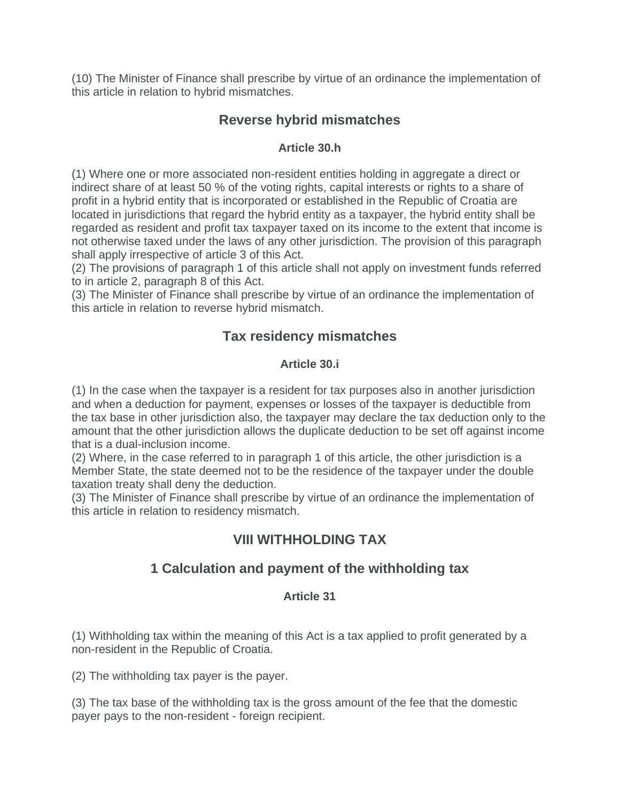(10) The Minister of Finance shall prescribe by virtue of an ordinance the implementation of this article in relation to hybrid mismatches.

# **Reverse hybrid mismatches**

### **Article 30.h**

(1) Where one or more associated non-resident entities holding in aggregate a direct or indirect share of at least 50 % of the voting rights, capital interests or rights to a share of profit in a hybrid entity that is incorporated or established in the Republic of Croatia are located in jurisdictions that regard the hybrid entity as a taxpayer, the hybrid entity shall be regarded as resident and profit tax taxpayer taxed on its income to the extent that income is not otherwise taxed under the laws of any other jurisdiction. The provision of this paragraph shall apply irrespective of article 3 of this Act.

(2) The provisions of paragraph 1 of this article shall not apply on investment funds referred to in article 2, paragraph 8 of this Act.

(3) The Minister of Finance shall prescribe by virtue of an ordinance the implementation of this article in relation to reverse hybrid mismatch.

# **Tax residency mismatches**

### **Article 30.i**

(1) In the case when the taxpayer is a resident for tax purposes also in another jurisdiction and when a deduction for payment, expenses or losses of the taxpayer is deductible from the tax base in other jurisdiction also, the taxpayer may declare the tax deduction only to the amount that the other jurisdiction allows the duplicate deduction to be set off against income that is a dual-inclusion income.

(2) Where, in the case referred to in paragraph 1 of this article, the other jurisdiction is a Member State, the state deemed not to be the residence of the taxpayer under the double taxation treaty shall deny the deduction.

(3) The Minister of Finance shall prescribe by virtue of an ordinance the implementation of this article in relation to residency mismatch.

# **VIII WITHHOLDING TAX**

# **1 Calculation and payment of the withholding tax**

### **Article 31**

(1) Withholding tax within the meaning of this Act is a tax applied to profit generated by a non-resident in the Republic of Croatia.

(2) The withholding tax payer is the payer.

(3) The tax base of the withholding tax is the gross amount of the fee that the domestic payer pays to the non-resident - foreign recipient.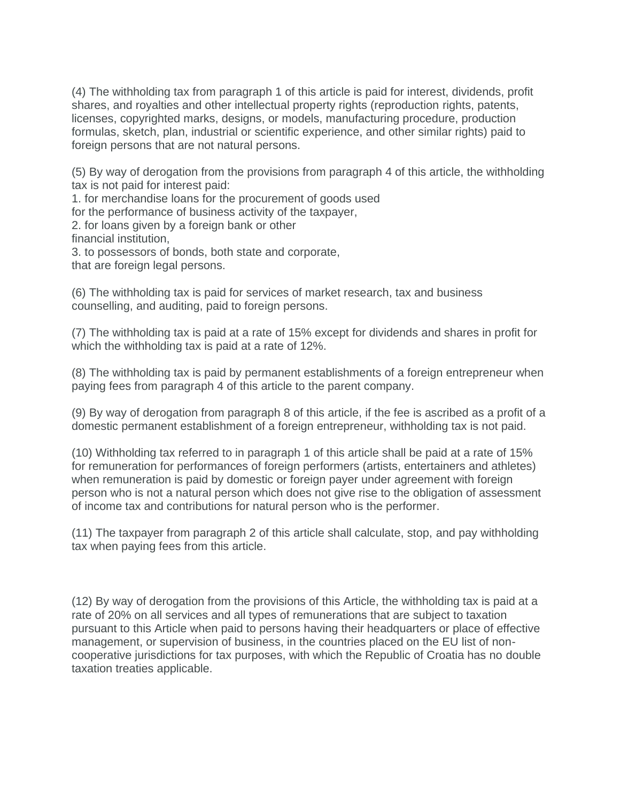(4) The withholding tax from paragraph 1 of this article is paid for interest, dividends, profit shares, and royalties and other intellectual property rights (reproduction rights, patents, licenses, copyrighted marks, designs, or models, manufacturing procedure, production formulas, sketch, plan, industrial or scientific experience, and other similar rights) paid to foreign persons that are not natural persons.

(5) By way of derogation from the provisions from paragraph 4 of this article, the withholding tax is not paid for interest paid:

1. for merchandise loans for the procurement of goods used

for the performance of business activity of the taxpayer,

2. for loans given by a foreign bank or other financial institution,

3. to possessors of bonds, both state and corporate,

that are foreign legal persons.

(6) The withholding tax is paid for services of market research, tax and business counselling, and auditing, paid to foreign persons.

(7) The withholding tax is paid at a rate of 15% except for dividends and shares in profit for which the withholding tax is paid at a rate of 12%.

(8) The withholding tax is paid by permanent establishments of a foreign entrepreneur when paying fees from paragraph 4 of this article to the parent company.

(9) By way of derogation from paragraph 8 of this article, if the fee is ascribed as a profit of a domestic permanent establishment of a foreign entrepreneur, withholding tax is not paid.

(10) Withholding tax referred to in paragraph 1 of this article shall be paid at a rate of 15% for remuneration for performances of foreign performers (artists, entertainers and athletes) when remuneration is paid by domestic or foreign payer under agreement with foreign person who is not a natural person which does not give rise to the obligation of assessment of income tax and contributions for natural person who is the performer.

(11) The taxpayer from paragraph 2 of this article shall calculate, stop, and pay withholding tax when paying fees from this article.

(12) By way of derogation from the provisions of this Article, the withholding tax is paid at a rate of 20% on all services and all types of remunerations that are subject to taxation pursuant to this Article when paid to persons having their headquarters or place of effective management, or supervision of business, in the countries placed on the EU list of noncooperative jurisdictions for tax purposes, with which the Republic of Croatia has no double taxation treaties applicable.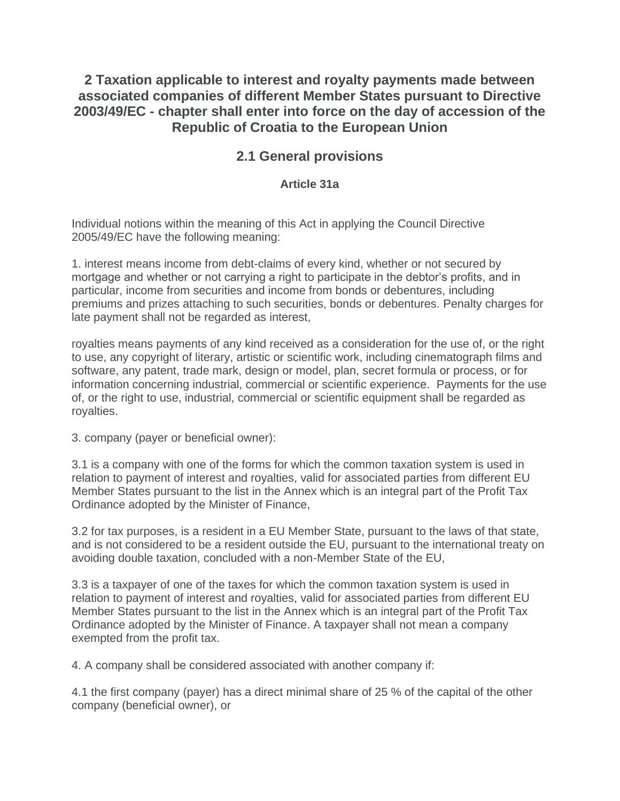**2 Taxation applicable to interest and royalty payments made between associated companies of different Member States pursuant to Directive 2003/49/EC - chapter shall enter into force on the day of accession of the Republic of Croatia to the European Union**

# **2.1 General provisions**

### **Article 31a**

Individual notions within the meaning of this Act in applying the Council Directive 2005/49/EC have the following meaning:

1. interest means income from debt-claims of every kind, whether or not secured by mortgage and whether or not carrying a right to participate in the debtor's profits, and in particular, income from securities and income from bonds or debentures, including premiums and prizes attaching to such securities, bonds or debentures. Penalty charges for late payment shall not be regarded as interest,

royalties means payments of any kind received as a consideration for the use of, or the right to use, any copyright of literary, artistic or scientific work, including cinematograph films and software, any patent, trade mark, design or model, plan, secret formula or process, or for information concerning industrial, commercial or scientific experience. Payments for the use of, or the right to use, industrial, commercial or scientific equipment shall be regarded as royalties.

3. company (payer or beneficial owner):

3.1 is a company with one of the forms for which the common taxation system is used in relation to payment of interest and royalties, valid for associated parties from different EU Member States pursuant to the list in the Annex which is an integral part of the Profit Tax Ordinance adopted by the Minister of Finance,

3.2 for tax purposes, is a resident in a EU Member State, pursuant to the laws of that state, and is not considered to be a resident outside the EU, pursuant to the international treaty on avoiding double taxation, concluded with a non-Member State of the EU,

3.3 is a taxpayer of one of the taxes for which the common taxation system is used in relation to payment of interest and royalties, valid for associated parties from different EU Member States pursuant to the list in the Annex which is an integral part of the Profit Tax Ordinance adopted by the Minister of Finance. A taxpayer shall not mean a company exempted from the profit tax.

4. A company shall be considered associated with another company if:

4.1 the first company (payer) has a direct minimal share of 25 % of the capital of the other company (beneficial owner), or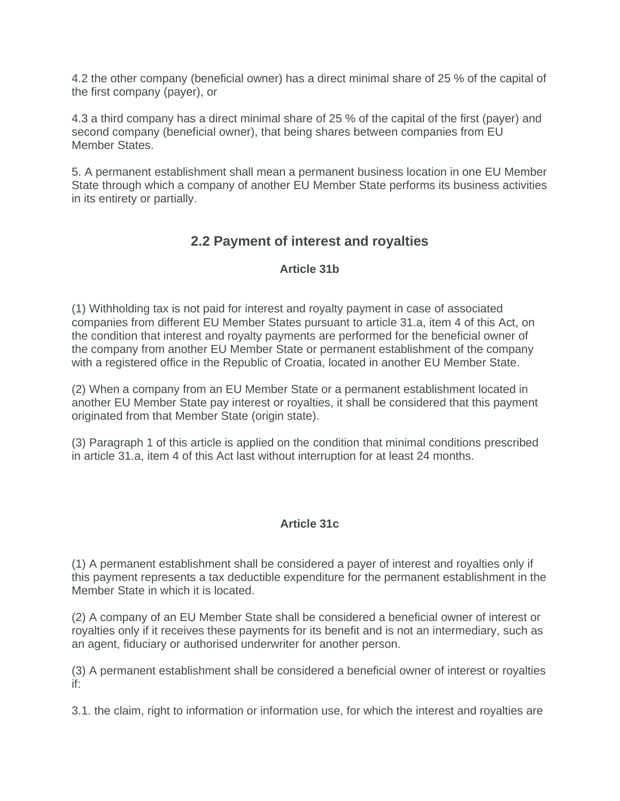4.2 the other company (beneficial owner) has a direct minimal share of 25 % of the capital of the first company (payer), or

4.3 a third company has a direct minimal share of 25 % of the capital of the first (payer) and second company (beneficial owner), that being shares between companies from EU Member States.

5. A permanent establishment shall mean a permanent business location in one EU Member State through which a company of another EU Member State performs its business activities in its entirety or partially.

# **2.2 Payment of interest and royalties**

### **Article 31b**

(1) Withholding tax is not paid for interest and royalty payment in case of associated companies from different EU Member States pursuant to article 31.a, item 4 of this Act, on the condition that interest and royalty payments are performed for the beneficial owner of the company from another EU Member State or permanent establishment of the company with a registered office in the Republic of Croatia, located in another EU Member State.

(2) When a company from an EU Member State or a permanent establishment located in another EU Member State pay interest or royalties, it shall be considered that this payment originated from that Member State (origin state).

(3) Paragraph 1 of this article is applied on the condition that minimal conditions prescribed in article 31.a, item 4 of this Act last without interruption for at least 24 months.

### **Article 31c**

(1) A permanent establishment shall be considered a payer of interest and royalties only if this payment represents a tax deductible expenditure for the permanent establishment in the Member State in which it is located.

(2) A company of an EU Member State shall be considered a beneficial owner of interest or royalties only if it receives these payments for its benefit and is not an intermediary, such as an agent, fiduciary or authorised underwriter for another person.

(3) A permanent establishment shall be considered a beneficial owner of interest or royalties if:

3.1. the claim, right to information or information use, for which the interest and royalties are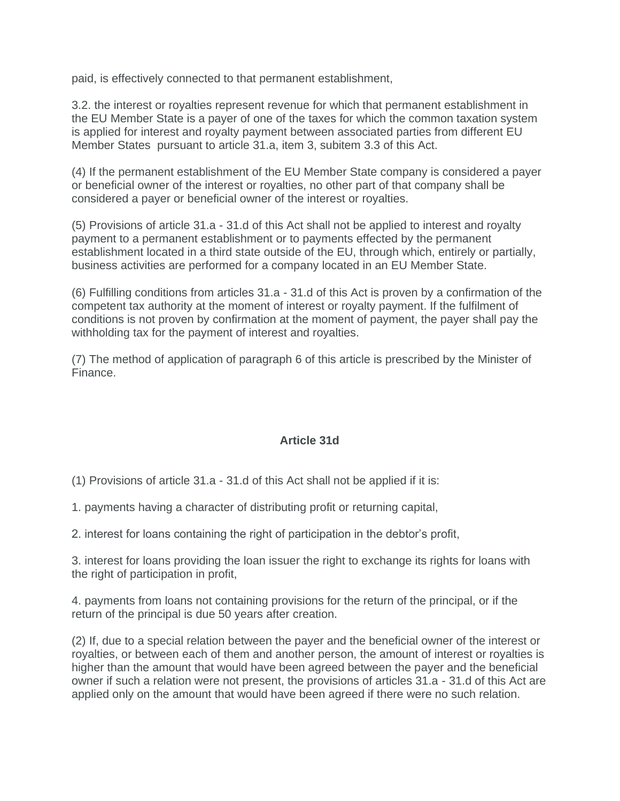paid, is effectively connected to that permanent establishment,

3.2. the interest or royalties represent revenue for which that permanent establishment in the EU Member State is a payer of one of the taxes for which the common taxation system is applied for interest and royalty payment between associated parties from different EU Member States pursuant to article 31.a, item 3, subitem 3.3 of this Act.

(4) If the permanent establishment of the EU Member State company is considered a payer or beneficial owner of the interest or royalties, no other part of that company shall be considered a payer or beneficial owner of the interest or royalties.

(5) Provisions of article 31.a - 31.d of this Act shall not be applied to interest and royalty payment to a permanent establishment or to payments effected by the permanent establishment located in a third state outside of the EU, through which, entirely or partially, business activities are performed for a company located in an EU Member State.

(6) Fulfilling conditions from articles 31.a - 31.d of this Act is proven by a confirmation of the competent tax authority at the moment of interest or royalty payment. If the fulfilment of conditions is not proven by confirmation at the moment of payment, the payer shall pay the withholding tax for the payment of interest and royalties.

(7) The method of application of paragraph 6 of this article is prescribed by the Minister of Finance.

### **Article 31d**

(1) Provisions of article 31.a - 31.d of this Act shall not be applied if it is:

1. payments having a character of distributing profit or returning capital,

2. interest for loans containing the right of participation in the debtor's profit,

3. interest for loans providing the loan issuer the right to exchange its rights for loans with the right of participation in profit,

4. payments from loans not containing provisions for the return of the principal, or if the return of the principal is due 50 years after creation.

(2) If, due to a special relation between the payer and the beneficial owner of the interest or royalties, or between each of them and another person, the amount of interest or royalties is higher than the amount that would have been agreed between the payer and the beneficial owner if such a relation were not present, the provisions of articles 31.a - 31.d of this Act are applied only on the amount that would have been agreed if there were no such relation.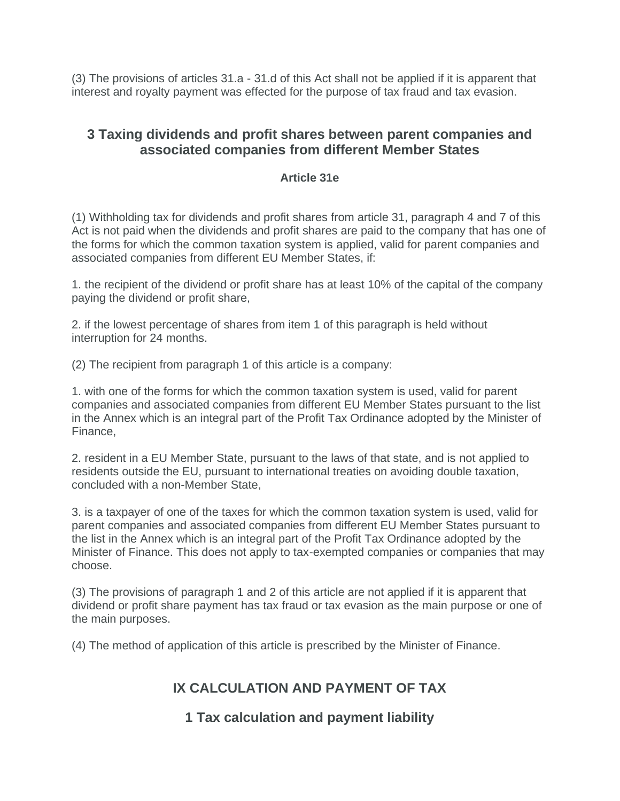(3) The provisions of articles 31.a - 31.d of this Act shall not be applied if it is apparent that interest and royalty payment was effected for the purpose of tax fraud and tax evasion.

# **3 Taxing dividends and profit shares between parent companies and associated companies from different Member States**

### **Article 31e**

(1) Withholding tax for dividends and profit shares from article 31, paragraph 4 and 7 of this Act is not paid when the dividends and profit shares are paid to the company that has one of the forms for which the common taxation system is applied, valid for parent companies and associated companies from different EU Member States, if:

1. the recipient of the dividend or profit share has at least 10% of the capital of the company paying the dividend or profit share,

2. if the lowest percentage of shares from item 1 of this paragraph is held without interruption for 24 months.

(2) The recipient from paragraph 1 of this article is a company:

1. with one of the forms for which the common taxation system is used, valid for parent companies and associated companies from different EU Member States pursuant to the list in the Annex which is an integral part of the Profit Tax Ordinance adopted by the Minister of Finance,

2. resident in a EU Member State, pursuant to the laws of that state, and is not applied to residents outside the EU, pursuant to international treaties on avoiding double taxation, concluded with a non-Member State,

3. is a taxpayer of one of the taxes for which the common taxation system is used, valid for parent companies and associated companies from different EU Member States pursuant to the list in the Annex which is an integral part of the Profit Tax Ordinance adopted by the Minister of Finance. This does not apply to tax-exempted companies or companies that may choose.

(3) The provisions of paragraph 1 and 2 of this article are not applied if it is apparent that dividend or profit share payment has tax fraud or tax evasion as the main purpose or one of the main purposes.

(4) The method of application of this article is prescribed by the Minister of Finance.

# **IX CALCULATION AND PAYMENT OF TAX**

### **1 Tax calculation and payment liability**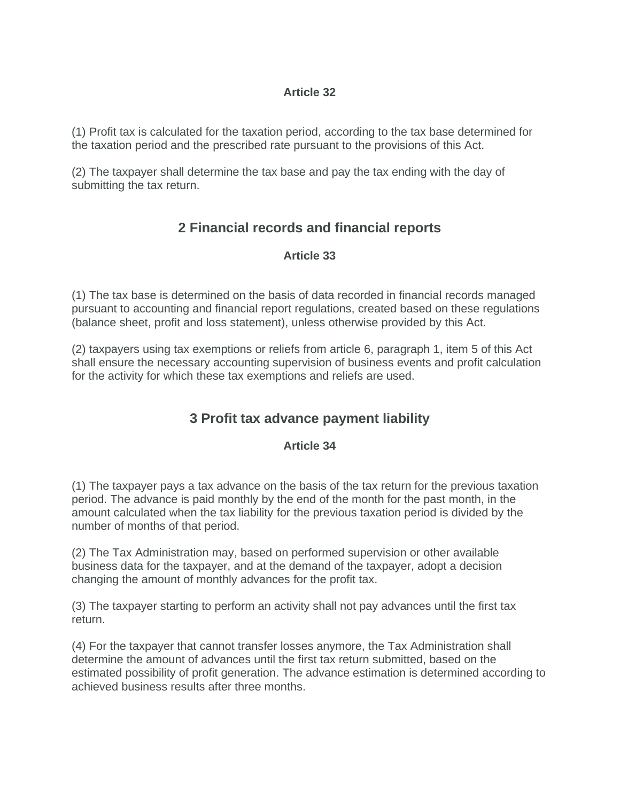### **Article 32**

(1) Profit tax is calculated for the taxation period, according to the tax base determined for the taxation period and the prescribed rate pursuant to the provisions of this Act.

(2) The taxpayer shall determine the tax base and pay the tax ending with the day of submitting the tax return.

# **2 Financial records and financial reports**

### **Article 33**

(1) The tax base is determined on the basis of data recorded in financial records managed pursuant to accounting and financial report regulations, created based on these regulations (balance sheet, profit and loss statement), unless otherwise provided by this Act.

(2) taxpayers using tax exemptions or reliefs from article 6, paragraph 1, item 5 of this Act shall ensure the necessary accounting supervision of business events and profit calculation for the activity for which these tax exemptions and reliefs are used.

# **3 Profit tax advance payment liability**

### **Article 34**

(1) The taxpayer pays a tax advance on the basis of the tax return for the previous taxation period. The advance is paid monthly by the end of the month for the past month, in the amount calculated when the tax liability for the previous taxation period is divided by the number of months of that period.

(2) The Tax Administration may, based on performed supervision or other available business data for the taxpayer, and at the demand of the taxpayer, adopt a decision changing the amount of monthly advances for the profit tax.

(3) The taxpayer starting to perform an activity shall not pay advances until the first tax return.

(4) For the taxpayer that cannot transfer losses anymore, the Tax Administration shall determine the amount of advances until the first tax return submitted, based on the estimated possibility of profit generation. The advance estimation is determined according to achieved business results after three months.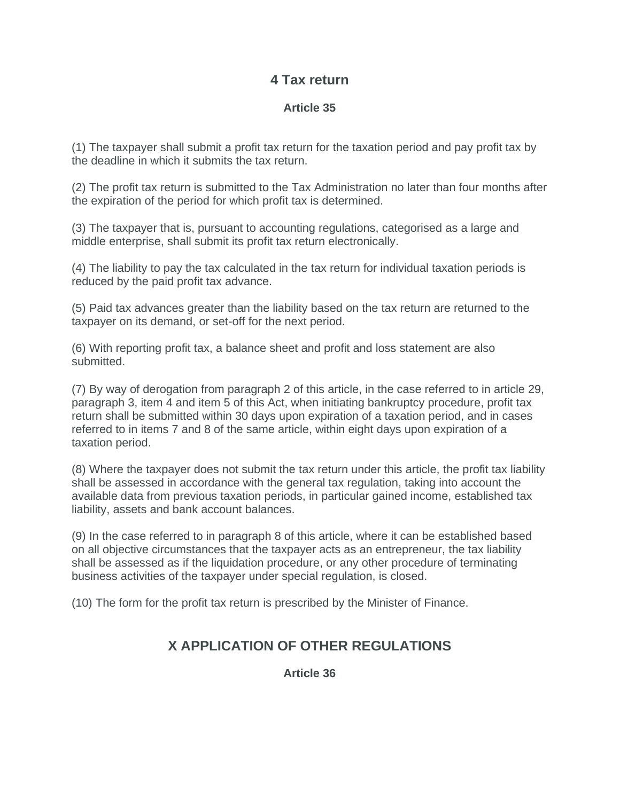### **4 Tax return**

### **Article 35**

(1) The taxpayer shall submit a profit tax return for the taxation period and pay profit tax by the deadline in which it submits the tax return.

(2) The profit tax return is submitted to the Tax Administration no later than four months after the expiration of the period for which profit tax is determined.

(3) The taxpayer that is, pursuant to accounting regulations, categorised as a large and middle enterprise, shall submit its profit tax return electronically.

(4) The liability to pay the tax calculated in the tax return for individual taxation periods is reduced by the paid profit tax advance.

(5) Paid tax advances greater than the liability based on the tax return are returned to the taxpayer on its demand, or set-off for the next period.

(6) With reporting profit tax, a balance sheet and profit and loss statement are also submitted.

(7) By way of derogation from paragraph 2 of this article, in the case referred to in article 29, paragraph 3, item 4 and item 5 of this Act, when initiating bankruptcy procedure, profit tax return shall be submitted within 30 days upon expiration of a taxation period, and in cases referred to in items 7 and 8 of the same article, within eight days upon expiration of a taxation period.

(8) Where the taxpayer does not submit the tax return under this article, the profit tax liability shall be assessed in accordance with the general tax regulation, taking into account the available data from previous taxation periods, in particular gained income, established tax liability, assets and bank account balances.

(9) In the case referred to in paragraph 8 of this article, where it can be established based on all objective circumstances that the taxpayer acts as an entrepreneur, the tax liability shall be assessed as if the liquidation procedure, or any other procedure of terminating business activities of the taxpayer under special regulation, is closed.

(10) The form for the profit tax return is prescribed by the Minister of Finance.

# **X APPLICATION OF OTHER REGULATIONS**

**Article 36**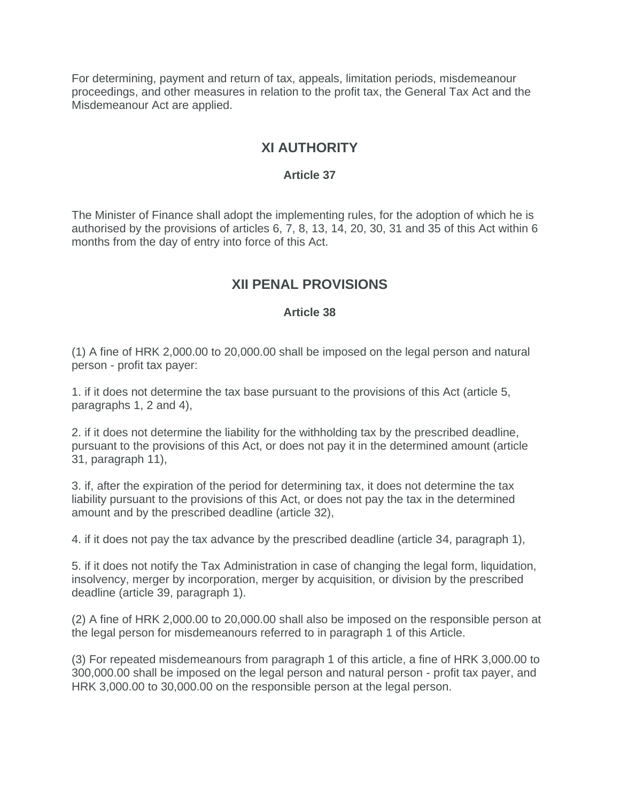For determining, payment and return of tax, appeals, limitation periods, misdemeanour proceedings, and other measures in relation to the profit tax, the General Tax Act and the Misdemeanour Act are applied.

# **XI AUTHORITY**

### **Article 37**

The Minister of Finance shall adopt the implementing rules, for the adoption of which he is authorised by the provisions of articles 6, 7, 8, 13, 14, 20, 30, 31 and 35 of this Act within 6 months from the day of entry into force of this Act.

# **XII PENAL PROVISIONS**

### **Article 38**

(1) A fine of HRK 2,000.00 to 20,000.00 shall be imposed on the legal person and natural person - profit tax payer:

1. if it does not determine the tax base pursuant to the provisions of this Act (article 5, paragraphs 1, 2 and 4),

2. if it does not determine the liability for the withholding tax by the prescribed deadline, pursuant to the provisions of this Act, or does not pay it in the determined amount (article 31, paragraph 11),

3. if, after the expiration of the period for determining tax, it does not determine the tax liability pursuant to the provisions of this Act, or does not pay the tax in the determined amount and by the prescribed deadline (article 32),

4. if it does not pay the tax advance by the prescribed deadline (article 34, paragraph 1),

5. if it does not notify the Tax Administration in case of changing the legal form, liquidation, insolvency, merger by incorporation, merger by acquisition, or division by the prescribed deadline (article 39, paragraph 1).

(2) A fine of HRK 2,000.00 to 20,000.00 shall also be imposed on the responsible person at the legal person for misdemeanours referred to in paragraph 1 of this Article.

(3) For repeated misdemeanours from paragraph 1 of this article, a fine of HRK 3,000.00 to 300,000.00 shall be imposed on the legal person and natural person - profit tax payer, and HRK 3,000.00 to 30,000.00 on the responsible person at the legal person.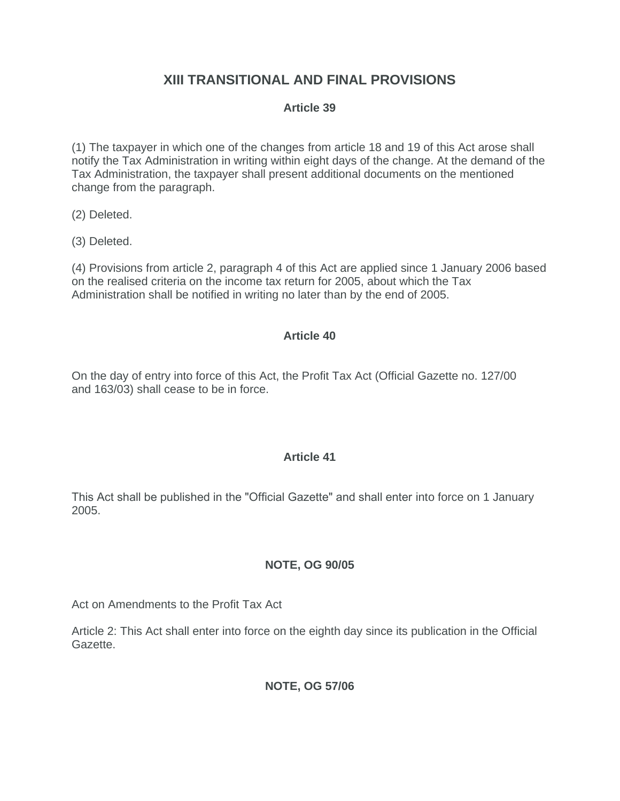# **XIII TRANSITIONAL AND FINAL PROVISIONS**

### **Article 39**

(1) The taxpayer in which one of the changes from article 18 and 19 of this Act arose shall notify the Tax Administration in writing within eight days of the change. At the demand of the Tax Administration, the taxpayer shall present additional documents on the mentioned change from the paragraph.

(2) Deleted.

(3) Deleted.

(4) Provisions from article 2, paragraph 4 of this Act are applied since 1 January 2006 based on the realised criteria on the income tax return for 2005, about which the Tax Administration shall be notified in writing no later than by the end of 2005.

### **Article 40**

On the day of entry into force of this Act, the Profit Tax Act (Official Gazette no. 127/00 and 163/03) shall cease to be in force.

### **Article 41**

This Act shall be published in the "Official Gazette" and shall enter into force on 1 January 2005.

### **NOTE, OG 90/05**

Act on Amendments to the Profit Tax Act

Article 2: This Act shall enter into force on the eighth day since its publication in the Official Gazette.

### **NOTE, OG 57/06**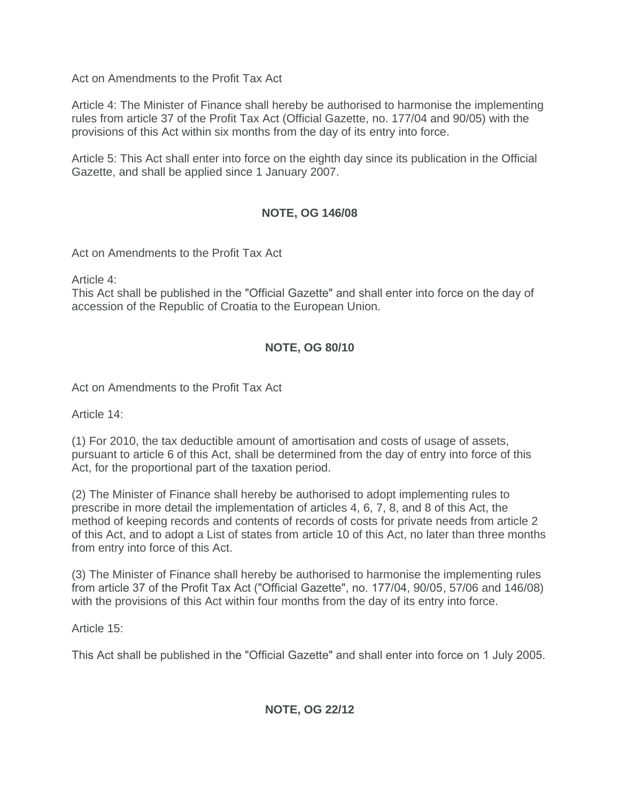Act on Amendments to the Profit Tax Act

Article 4: The Minister of Finance shall hereby be authorised to harmonise the implementing rules from article 37 of the Profit Tax Act (Official Gazette, no. 177/04 and 90/05) with the provisions of this Act within six months from the day of its entry into force.

Article 5: This Act shall enter into force on the eighth day since its publication in the Official Gazette, and shall be applied since 1 January 2007.

### **NOTE, OG 146/08**

Act on Amendments to the Profit Tax Act

Article 4:

This Act shall be published in the "Official Gazette" and shall enter into force on the day of accession of the Republic of Croatia to the European Union.

### **NOTE, OG 80/10**

Act on Amendments to the Profit Tax Act

Article 14:

(1) For 2010, the tax deductible amount of amortisation and costs of usage of assets, pursuant to article 6 of this Act, shall be determined from the day of entry into force of this Act, for the proportional part of the taxation period.

(2) The Minister of Finance shall hereby be authorised to adopt implementing rules to prescribe in more detail the implementation of articles 4, 6, 7, 8, and 8 of this Act, the method of keeping records and contents of records of costs for private needs from article 2 of this Act, and to adopt a List of states from article 10 of this Act, no later than three months from entry into force of this Act.

(3) The Minister of Finance shall hereby be authorised to harmonise the implementing rules from article 37 of the Profit Tax Act ("Official Gazette", no.  $177/04$ ,  $90/05$ ,  $57/06$  and  $146/08$ ) with the provisions of this Act within four months from the day of its entry into force.

Article 15:

This Act shall be published in the "Official Gazette" and shall enter into force on 1 July 2005.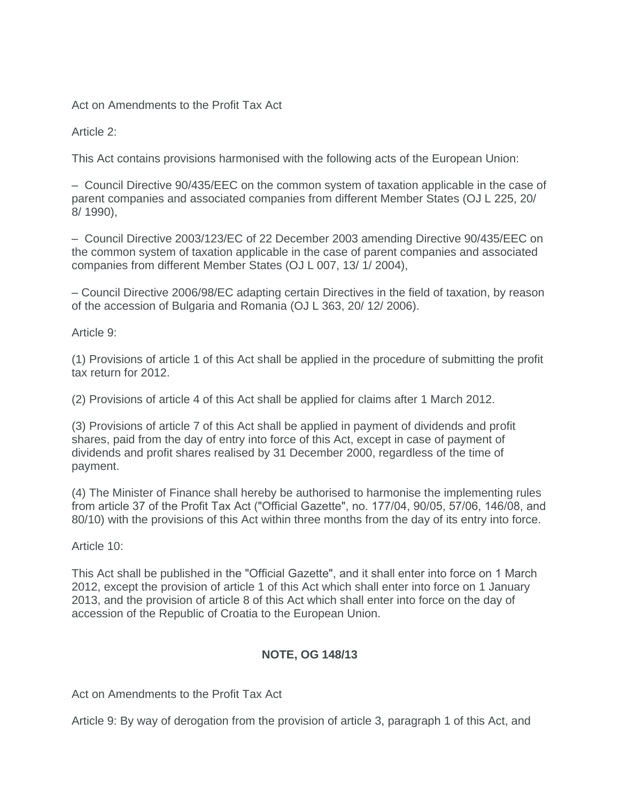Act on Amendments to the Profit Tax Act

Article 2:

This Act contains provisions harmonised with the following acts of the European Union:

– Council Directive 90/435/EEC on the common system of taxation applicable in the case of parent companies and associated companies from different Member States (OJ L 225, 20/ 8/ 1990),

– Council Directive 2003/123/EC of 22 December 2003 amending Directive 90/435/EEC on the common system of taxation applicable in the case of parent companies and associated companies from different Member States (OJ L 007, 13/ 1/ 2004),

– Council Directive 2006/98/EC adapting certain Directives in the field of taxation, by reason of the accession of Bulgaria and Romania (OJ L 363, 20/ 12/ 2006).

Article 9:

(1) Provisions of article 1 of this Act shall be applied in the procedure of submitting the profit tax return for 2012.

(2) Provisions of article 4 of this Act shall be applied for claims after 1 March 2012.

(3) Provisions of article 7 of this Act shall be applied in payment of dividends and profit shares, paid from the day of entry into force of this Act, except in case of payment of dividends and profit shares realised by 31 December 2000, regardless of the time of payment.

(4) The Minister of Finance shall hereby be authorised to harmonise the implementing rules from article 37 of the Profit Tax Act ("Official Gazette", no. 177/04, 90/05, 57/06, 146/08, and 80/10) with the provisions of this Act within three months from the day of its entry into force.

Article 10:

This Act shall be published in the "Official Gazette", and it shall enter into force on 1 March 2012, except the provision of article 1 of this Act which shall enter into force on 1 January 2013, and the provision of article 8 of this Act which shall enter into force on the day of accession of the Republic of Croatia to the European Union.

### **NOTE, OG 148/13**

Act on Amendments to the Profit Tax Act

Article 9: By way of derogation from the provision of article 3, paragraph 1 of this Act, and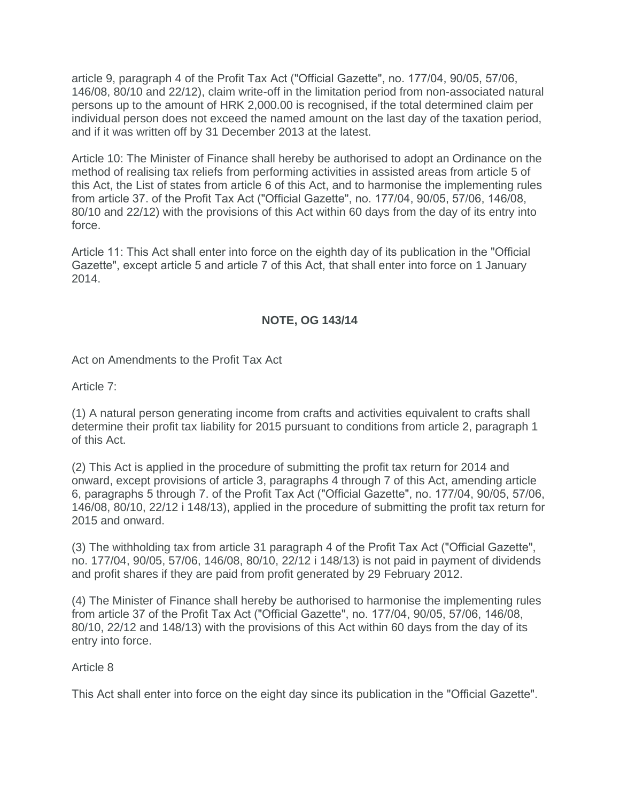article 9, paragraph 4 of the Profit Tax Act ("Official Gazette", no. 177/04, 90/05, 57/06, 146/08, 80/10 and 22/12), claim write-off in the limitation period from non-associated natural persons up to the amount of HRK 2,000.00 is recognised, if the total determined claim per individual person does not exceed the named amount on the last day of the taxation period, and if it was written off by 31 December 2013 at the latest.

Article 10: The Minister of Finance shall hereby be authorised to adopt an Ordinance on the method of realising tax reliefs from performing activities in assisted areas from article 5 of this Act, the List of states from article 6 of this Act, and to harmonise the implementing rules from article 37. of the Profit Tax Act ("Official Gazette", no. 177/04, 90/05, 57/06, 146/08, 80/10 and 22/12) with the provisions of this Act within 60 days from the day of its entry into force.

Article 11: This Act shall enter into force on the eighth day of its publication in the "Official" Gazette", except article 5 and article 7 of this Act, that shall enter into force on 1 January 2014.

### **NOTE, OG 143/14**

Act on Amendments to the Profit Tax Act

Article 7:

(1) A natural person generating income from crafts and activities equivalent to crafts shall determine their profit tax liability for 2015 pursuant to conditions from article 2, paragraph 1 of this Act.

(2) This Act is applied in the procedure of submitting the profit tax return for 2014 and onward, except provisions of article 3, paragraphs 4 through 7 of this Act, amending article 6, paragraphs 5 through 7. of the Profit Tax Act ("Official Gazette", no. 177/04, 90/05, 57/06, 146/08, 80/10, 22/12 i 148/13), applied in the procedure of submitting the profit tax return for 2015 and onward.

(3) The withholding tax from article 31 paragraph 4 of the Profit Tax Act ("Official Gazette", no. 177/04, 90/05, 57/06, 146/08, 80/10, 22/12 i 148/13) is not paid in payment of dividends and profit shares if they are paid from profit generated by 29 February 2012.

(4) The Minister of Finance shall hereby be authorised to harmonise the implementing rules from article 37 of the Profit Tax Act ("Official Gazette", no. 177/04, 90/05, 57/06, 146/08, 80/10, 22/12 and 148/13) with the provisions of this Act within 60 days from the day of its entry into force.

Article 8

This Act shall enter into force on the eight day since its publication in the "Official Gazette".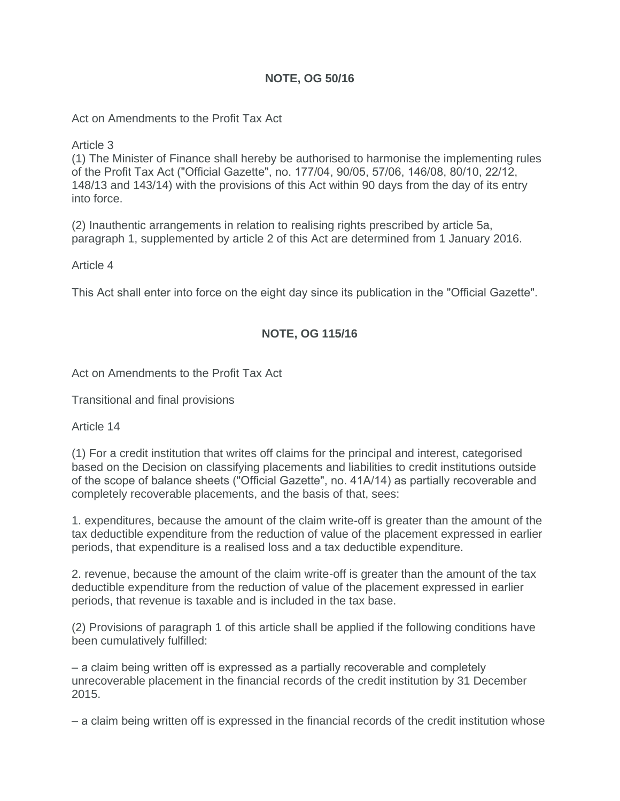### **NOTE, OG 50/16**

Act on Amendments to the Profit Tax Act

Article 3

(1) The Minister of Finance shall hereby be authorised to harmonise the implementing rules of the Profit Tax Act ("Official Gazette", no. 177/04, 90/05, 57/06, 146/08, 80/10, 22/12, 148/13 and 143/14) with the provisions of this Act within 90 days from the day of its entry into force.

(2) Inauthentic arrangements in relation to realising rights prescribed by article 5a, paragraph 1, supplemented by article 2 of this Act are determined from 1 January 2016.

Article 4

This Act shall enter into force on the eight day since its publication in the "Official Gazette".

### **NOTE, OG 115/16**

Act on Amendments to the Profit Tax Act

Transitional and final provisions

Article 14

(1) For a credit institution that writes off claims for the principal and interest, categorised based on the Decision on classifying placements and liabilities to credit institutions outside of the scope of balance sheets ("Official Gazette", no. 41A/14) as partially recoverable and completely recoverable placements, and the basis of that, sees:

1. expenditures, because the amount of the claim write-off is greater than the amount of the tax deductible expenditure from the reduction of value of the placement expressed in earlier periods, that expenditure is a realised loss and a tax deductible expenditure.

2. revenue, because the amount of the claim write-off is greater than the amount of the tax deductible expenditure from the reduction of value of the placement expressed in earlier periods, that revenue is taxable and is included in the tax base.

(2) Provisions of paragraph 1 of this article shall be applied if the following conditions have been cumulatively fulfilled:

‒ a claim being written off is expressed as a partially recoverable and completely unrecoverable placement in the financial records of the credit institution by 31 December 2015.

‒ a claim being written off is expressed in the financial records of the credit institution whose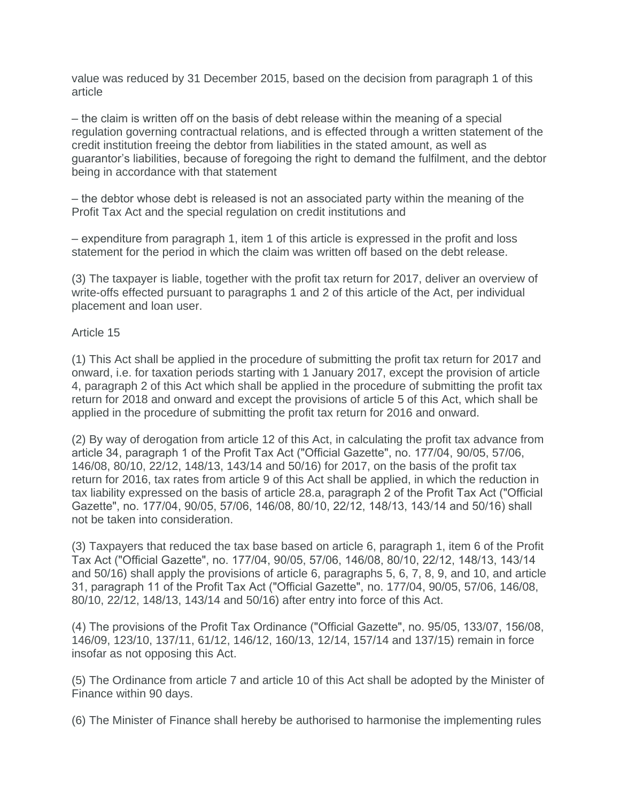value was reduced by 31 December 2015, based on the decision from paragraph 1 of this article

‒ the claim is written off on the basis of debt release within the meaning of a special regulation governing contractual relations, and is effected through a written statement of the credit institution freeing the debtor from liabilities in the stated amount, as well as guarantor's liabilities, because of foregoing the right to demand the fulfilment, and the debtor being in accordance with that statement

‒ the debtor whose debt is released is not an associated party within the meaning of the Profit Tax Act and the special regulation on credit institutions and

‒ expenditure from paragraph 1, item 1 of this article is expressed in the profit and loss statement for the period in which the claim was written off based on the debt release.

(3) The taxpayer is liable, together with the profit tax return for 2017, deliver an overview of write-offs effected pursuant to paragraphs 1 and 2 of this article of the Act, per individual placement and loan user.

#### Article 15

(1) This Act shall be applied in the procedure of submitting the profit tax return for 2017 and onward, i.e. for taxation periods starting with 1 January 2017, except the provision of article 4, paragraph 2 of this Act which shall be applied in the procedure of submitting the profit tax return for 2018 and onward and except the provisions of article 5 of this Act, which shall be applied in the procedure of submitting the profit tax return for 2016 and onward.

(2) By way of derogation from article 12 of this Act, in calculating the profit tax advance from article 34, paragraph 1 of the Profit Tax Act ("Official Gazette", no. 177/04, 90/05, 57/06, 146/08, 80/10, 22/12, 148/13, 143/14 and 50/16) for 2017, on the basis of the profit tax return for 2016, tax rates from article 9 of this Act shall be applied, in which the reduction in tax liability expressed on the basis of article 28.a, paragraph 2 of the Profit Tax Act ("Official Gazette", no. 177/04, 90/05, 57/06, 146/08, 80/10, 22/12, 148/13, 143/14 and 50/16) shall not be taken into consideration.

(3) Taxpayers that reduced the tax base based on article 6, paragraph 1, item 6 of the Profit Tax Act ("Official Gazette", no. 177/04, 90/05, 57/06, 146/08, 80/10, 22/12, 148/13, 143/14 and 50/16) shall apply the provisions of article 6, paragraphs 5, 6, 7, 8, 9, and 10, and article 31, paragraph 11 of the Profit Tax Act ("Official Gazette", no. 177/04, 90/05, 57/06, 146/08, 80/10, 22/12, 148/13, 143/14 and 50/16) after entry into force of this Act.

(4) The provisions of the Profit Tax Ordinance ("Official Gazette", no. 95/05, 133/07, 156/08, 146/09, 123/10, 137/11, 61/12, 146/12, 160/13, 12/14, 157/14 and 137/15) remain in force insofar as not opposing this Act.

(5) The Ordinance from article 7 and article 10 of this Act shall be adopted by the Minister of Finance within 90 days.

(6) The Minister of Finance shall hereby be authorised to harmonise the implementing rules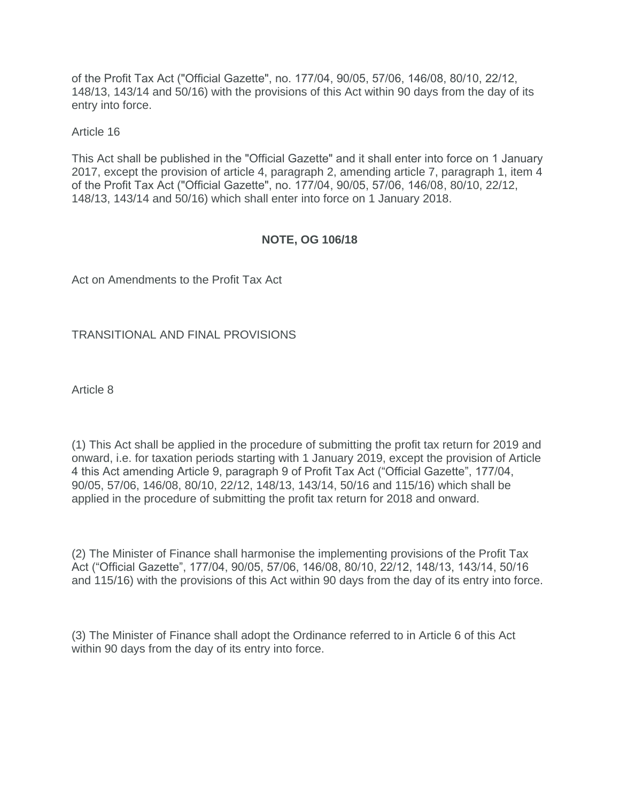of the Profit Tax Act ("Official Gazette", no. 177/04, 90/05, 57/06, 146/08, 80/10, 22/12, 148/13, 143/14 and 50/16) with the provisions of this Act within 90 days from the day of its entry into force.

#### Article 16

This Act shall be published in the "Official Gazette" and it shall enter into force on 1 January 2017, except the provision of article 4, paragraph 2, amending article 7, paragraph 1, item 4 of the Profit Tax Act ("Official Gazette", no. 177/04, 90/05, 57/06, 146/08, 80/10, 22/12, 148/13, 143/14 and 50/16) which shall enter into force on 1 January 2018.

### **NOTE, OG 106/18**

Act on Amendments to the Profit Tax Act

#### TRANSITIONAL AND FINAL PROVISIONS

Article 8

(1) This Act shall be applied in the procedure of submitting the profit tax return for 2019 and onward, i.e. for taxation periods starting with 1 January 2019, except the provision of Article 4 this Act amending Article 9, paragraph 9 of Profit Tax Act ("Official Gazette", 177/04, 90/05, 57/06, 146/08, 80/10, 22/12, 148/13, 143/14, 50/16 and 115/16) which shall be applied in the procedure of submitting the profit tax return for 2018 and onward.

(2) The Minister of Finance shall harmonise the implementing provisions of the Profit Tax Act ("Official Gazette", 177/04, 90/05, 57/06, 146/08, 80/10, 22/12, 148/13, 143/14, 50/16 and 115/16) with the provisions of this Act within 90 days from the day of its entry into force.

(3) The Minister of Finance shall adopt the Ordinance referred to in Article 6 of this Act within 90 days from the day of its entry into force.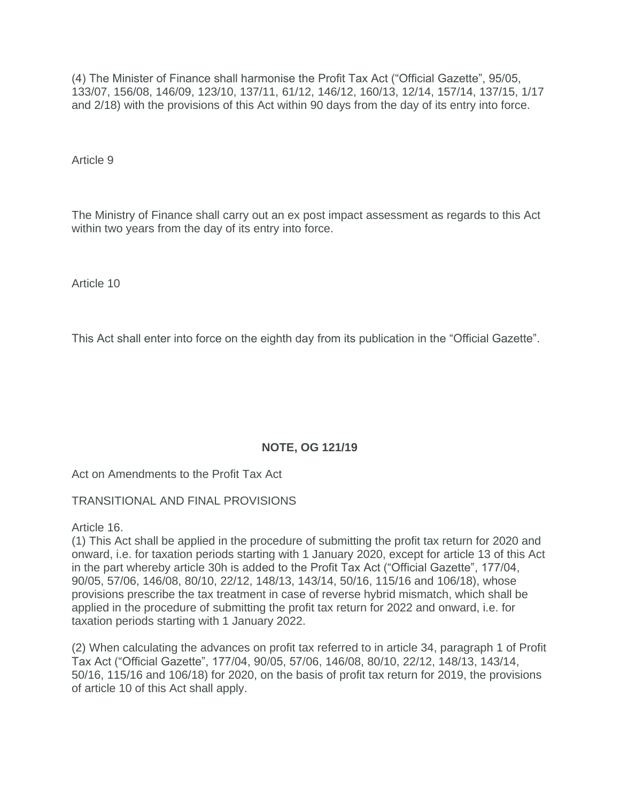(4) The Minister of Finance shall harmonise the Profit Tax Act ("Official Gazette", 95/05, 133/07, 156/08, 146/09, 123/10, 137/11, 61/12, 146/12, 160/13, 12/14, 157/14, 137/15, 1/17 and 2/18) with the provisions of this Act within 90 days from the day of its entry into force.

Article 9

The Ministry of Finance shall carry out an ex post impact assessment as regards to this Act within two years from the day of its entry into force.

Article 10

This Act shall enter into force on the eighth day from its publication in the "Official Gazette".

### **NOTE, OG 121/19**

Act on Amendments to the Profit Tax Act

TRANSITIONAL AND FINAL PROVISIONS

Article 16.

(1) This Act shall be applied in the procedure of submitting the profit tax return for 2020 and onward, i.e. for taxation periods starting with 1 January 2020, except for article 13 of this Act in the part whereby article 30h is added to the Profit Tax Act ("Official Gazette", 177/04, 90/05, 57/06, 146/08, 80/10, 22/12, 148/13, 143/14, 50/16, 115/16 and 106/18), whose provisions prescribe the tax treatment in case of reverse hybrid mismatch, which shall be applied in the procedure of submitting the profit tax return for 2022 and onward, i.e. for taxation periods starting with 1 January 2022.

(2) When calculating the advances on profit tax referred to in article 34, paragraph 1 of Profit Tax Act ("Official Gazette", 177/04, 90/05, 57/06, 146/08, 80/10, 22/12, 148/13, 143/14, 50/16, 115/16 and 106/18) for 2020, on the basis of profit tax return for 2019, the provisions of article 10 of this Act shall apply.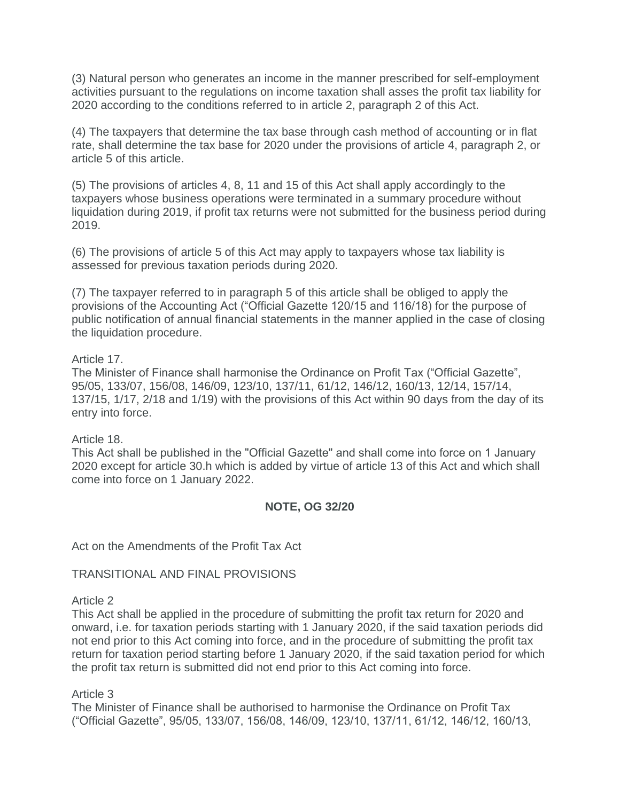(3) Natural person who generates an income in the manner prescribed for self-employment activities pursuant to the regulations on income taxation shall asses the profit tax liability for 2020 according to the conditions referred to in article 2, paragraph 2 of this Act.

(4) The taxpayers that determine the tax base through cash method of accounting or in flat rate, shall determine the tax base for 2020 under the provisions of article 4, paragraph 2, or article 5 of this article.

(5) The provisions of articles 4, 8, 11 and 15 of this Act shall apply accordingly to the taxpayers whose business operations were terminated in a summary procedure without liquidation during 2019, if profit tax returns were not submitted for the business period during 2019.

(6) The provisions of article 5 of this Act may apply to taxpayers whose tax liability is assessed for previous taxation periods during 2020.

(7) The taxpayer referred to in paragraph 5 of this article shall be obliged to apply the provisions of the Accounting Act ("Official Gazette 120/15 and 116/18) for the purpose of public notification of annual financial statements in the manner applied in the case of closing the liquidation procedure.

#### Article 17.

The Minister of Finance shall harmonise the Ordinance on Profit Tax ("Official Gazette", 95/05, 133/07, 156/08, 146/09, 123/10, 137/11, 61/12, 146/12, 160/13, 12/14, 157/14, 137/15, 1/17, 2/18 and 1/19) with the provisions of this Act within 90 days from the day of its entry into force.

Article 18.

This Act shall be published in the "Official Gazette" and shall come into force on 1 January 2020 except for article 30.h which is added by virtue of article 13 of this Act and which shall come into force on 1 January 2022.

### **NOTE, OG 32/20**

Act on the Amendments of the Profit Tax Act

TRANSITIONAL AND FINAL PROVISIONS

#### Article 2

This Act shall be applied in the procedure of submitting the profit tax return for 2020 and onward, i.e. for taxation periods starting with 1 January 2020, if the said taxation periods did not end prior to this Act coming into force, and in the procedure of submitting the profit tax return for taxation period starting before 1 January 2020, if the said taxation period for which the profit tax return is submitted did not end prior to this Act coming into force.

#### Article 3

The Minister of Finance shall be authorised to harmonise the Ordinance on Profit Tax ("Official Gazette", 95/05, 133/07, 156/08, 146/09, 123/10, 137/11, 61/12, 146/12, 160/13,